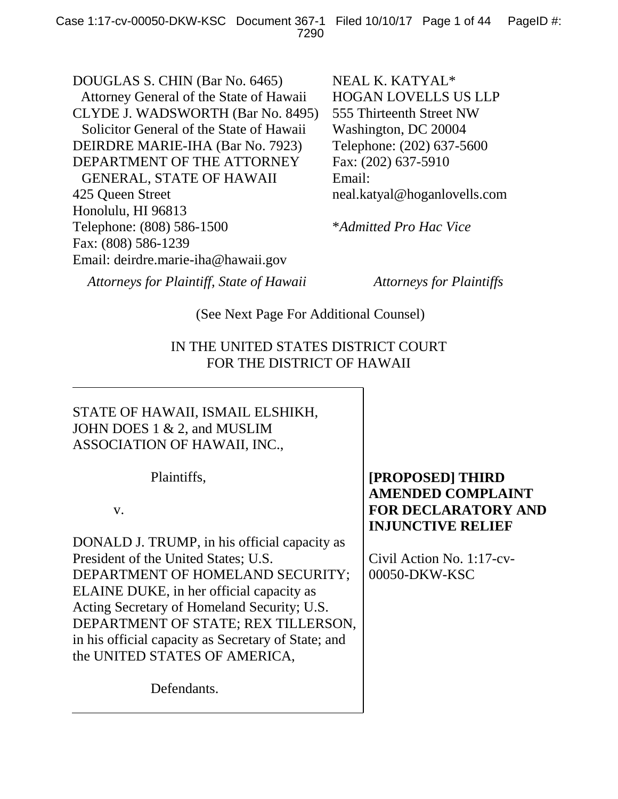DOUGLAS S. CHIN (Bar No. 6465) Attorney General of the State of Hawaii CLYDE J. WADSWORTH (Bar No. 8495) Solicitor General of the State of Hawaii DEIRDRE MARIE-IHA (Bar No. 7923) DEPARTMENT OF THE ATTORNEY GENERAL, STATE OF HAWAII 425 Queen Street Honolulu, HI 96813 Telephone: (808) 586-1500 Fax: (808) 586-1239 Email: deirdre.marie-iha@hawaii.gov

NEAL K. KATYAL\* HOGAN LOVELLS US LLP 555 Thirteenth Street NW Washington, DC 20004 Telephone: (202) 637-5600 Fax: (202) 637-5910 Email: neal.katyal@hoganlovells.com

\**Admitted Pro Hac Vice*

*Attorneys for Plaintiff, State of Hawaii Attorneys for Plaintiffs*

(See Next Page For Additional Counsel)

# IN THE UNITED STATES DISTRICT COURT FOR THE DISTRICT OF HAWAII

# STATE OF HAWAII, ISMAIL ELSHIKH, JOHN DOES 1 & 2, and MUSLIM ASSOCIATION OF HAWAII, INC.,

Plaintiffs,

v.

DONALD J. TRUMP, in his official capacity as President of the United States; U.S. DEPARTMENT OF HOMELAND SECURITY; ELAINE DUKE, in her official capacity as Acting Secretary of Homeland Security; U.S. DEPARTMENT OF STATE; REX TILLERSON, in his official capacity as Secretary of State; and the UNITED STATES OF AMERICA,

Defendants.

# **[PROPOSED] THIRD AMENDED COMPLAINT FOR DECLARATORY AND INJUNCTIVE RELIEF**

Civil Action No. 1:17-cv-00050-DKW-KSC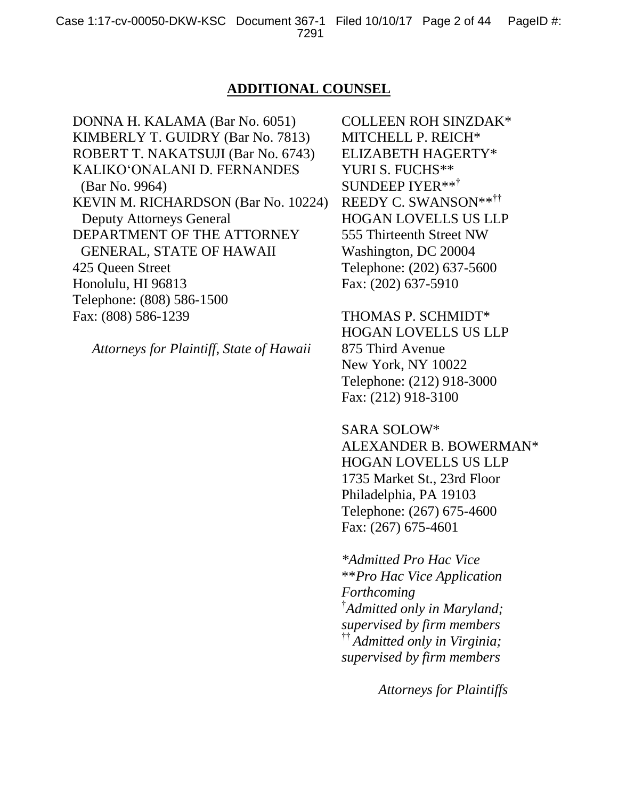### **ADDITIONAL COUNSEL**

DONNA H. KALAMA (Bar No. 6051) KIMBERLY T. GUIDRY (Bar No. 7813) ROBERT T. NAKATSUJI (Bar No. 6743) KALIKO'ONALANI D. FERNANDES (Bar No. 9964) KEVIN M. RICHARDSON (Bar No. 10224) Deputy Attorneys General DEPARTMENT OF THE ATTORNEY GENERAL, STATE OF HAWAII 425 Queen Street Honolulu, HI 96813 Telephone: (808) 586-1500 Fax: (808) 586-1239

*Attorneys for Plaintiff, State of Hawaii*

COLLEEN ROH SINZDAK\* MITCHELL P. REICH\* ELIZABETH HAGERTY\* YURI S. FUCHS\*\* SUNDEEP IYER\*\*† REEDY C. SWANSON\*\*†† HOGAN LOVELLS US LLP 555 Thirteenth Street NW Washington, DC 20004 Telephone: (202) 637-5600 Fax: (202) 637-5910

THOMAS P. SCHMIDT\* HOGAN LOVELLS US LLP 875 Third Avenue New York, NY 10022 Telephone: (212) 918-3000 Fax: (212) 918-3100

SARA SOLOW\*

ALEXANDER B. BOWERMAN\* HOGAN LOVELLS US LLP 1735 Market St., 23rd Floor Philadelphia, PA 19103 Telephone: (267) 675-4600 Fax: (267) 675-4601

*\*Admitted Pro Hac Vice* \*\**Pro Hac Vice Application Forthcoming* † *Admitted only in Maryland; supervised by firm members*  †† *Admitted only in Virginia; supervised by firm members*

*Attorneys for Plaintiffs*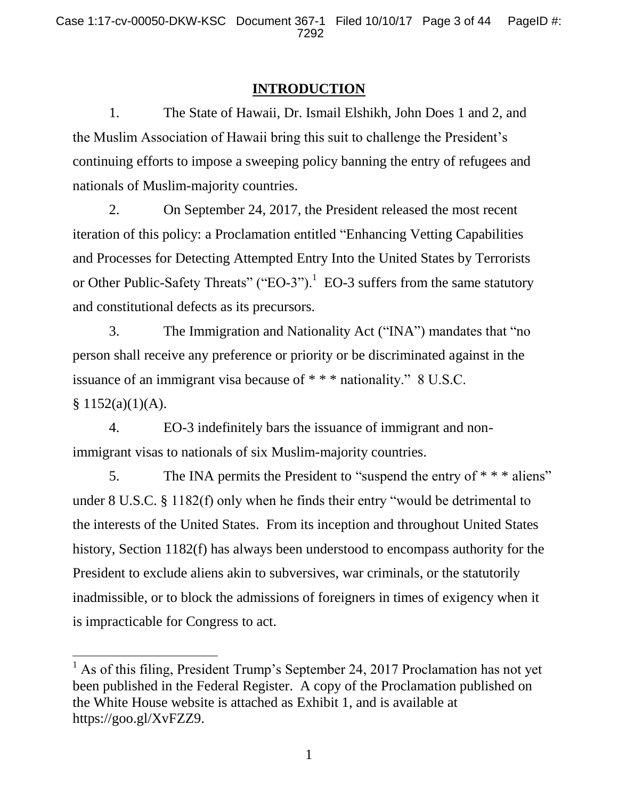## **INTRODUCTION**

1. The State of Hawaii, Dr. Ismail Elshikh, John Does 1 and 2, and the Muslim Association of Hawaii bring this suit to challenge the President's continuing efforts to impose a sweeping policy banning the entry of refugees and nationals of Muslim-majority countries.

2. On September 24, 2017, the President released the most recent iteration of this policy: a Proclamation entitled "Enhancing Vetting Capabilities and Processes for Detecting Attempted Entry Into the United States by Terrorists or Other Public-Safety Threats" ("EO-3").<sup>1</sup> EO-3 suffers from the same statutory and constitutional defects as its precursors.

3. The Immigration and Nationality Act ("INA") mandates that "no person shall receive any preference or priority or be discriminated against in the issuance of an immigrant visa because of \* \* \* nationality." 8 U.S.C.  $§ 1152(a)(1)(A).$ 

4. EO-3 indefinitely bars the issuance of immigrant and nonimmigrant visas to nationals of six Muslim-majority countries.

5. The INA permits the President to "suspend the entry of  $***$  aliens" under 8 U.S.C. § 1182(f) only when he finds their entry "would be detrimental to the interests of the United States. From its inception and throughout United States history, Section 1182(f) has always been understood to encompass authority for the President to exclude aliens akin to subversives, war criminals, or the statutorily inadmissible, or to block the admissions of foreigners in times of exigency when it is impracticable for Congress to act.

l

<sup>&</sup>lt;sup>1</sup> As of this filing, President Trump's September 24, 2017 Proclamation has not yet been published in the Federal Register. A copy of the Proclamation published on the White House website is attached as Exhibit 1, and is available at https://goo.gl/XvFZZ9.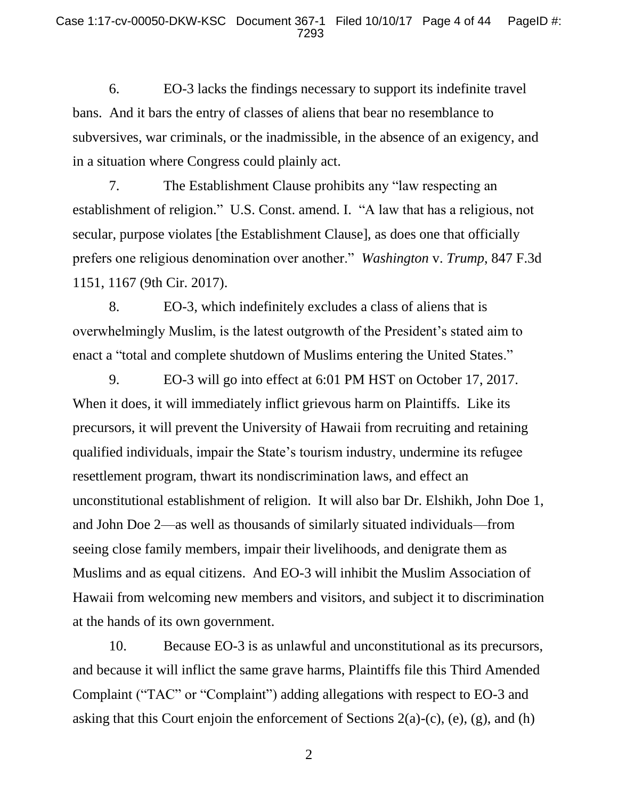6. EO-3 lacks the findings necessary to support its indefinite travel bans. And it bars the entry of classes of aliens that bear no resemblance to subversives, war criminals, or the inadmissible, in the absence of an exigency, and in a situation where Congress could plainly act.

7. The Establishment Clause prohibits any "law respecting an establishment of religion." U.S. Const. amend. I. "A law that has a religious, not secular, purpose violates [the Establishment Clause], as does one that officially prefers one religious denomination over another." *Washington* v. *Trump*, 847 F.3d 1151, 1167 (9th Cir. 2017).

8. EO-3, which indefinitely excludes a class of aliens that is overwhelmingly Muslim, is the latest outgrowth of the President's stated aim to enact a "total and complete shutdown of Muslims entering the United States."

9. EO-3 will go into effect at 6:01 PM HST on October 17, 2017. When it does, it will immediately inflict grievous harm on Plaintiffs. Like its precursors, it will prevent the University of Hawaii from recruiting and retaining qualified individuals, impair the State's tourism industry, undermine its refugee resettlement program, thwart its nondiscrimination laws, and effect an unconstitutional establishment of religion. It will also bar Dr. Elshikh, John Doe 1, and John Doe 2—as well as thousands of similarly situated individuals—from seeing close family members, impair their livelihoods, and denigrate them as Muslims and as equal citizens. And EO-3 will inhibit the Muslim Association of Hawaii from welcoming new members and visitors, and subject it to discrimination at the hands of its own government.

10. Because EO-3 is as unlawful and unconstitutional as its precursors, and because it will inflict the same grave harms, Plaintiffs file this Third Amended Complaint ("TAC" or "Complaint") adding allegations with respect to EO-3 and asking that this Court enjoin the enforcement of Sections 2(a)-(c), (e), (g), and (h)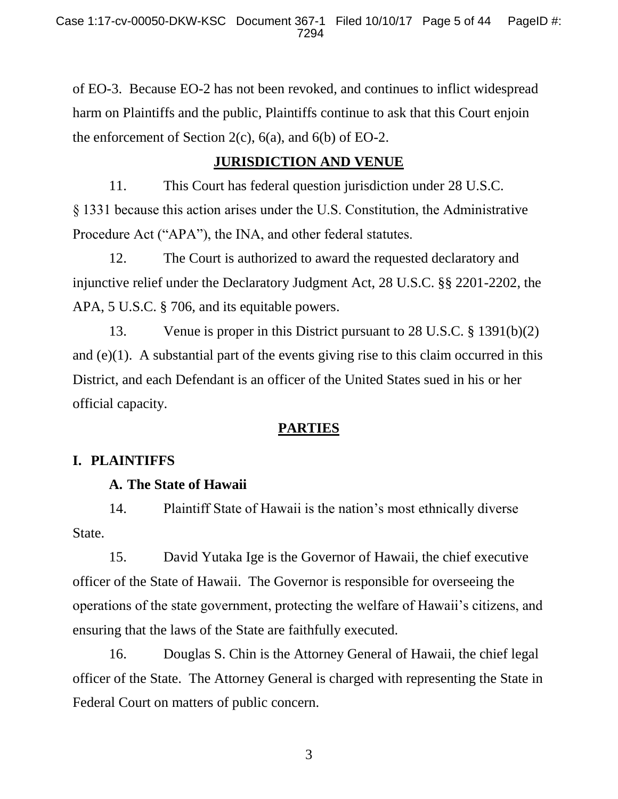of EO-3. Because EO-2 has not been revoked, and continues to inflict widespread harm on Plaintiffs and the public, Plaintiffs continue to ask that this Court enjoin the enforcement of Section 2(c),  $6(a)$ , and  $6(b)$  of EO-2.

# **JURISDICTION AND VENUE**

11. This Court has federal question jurisdiction under 28 U.S.C. § 1331 because this action arises under the U.S. Constitution, the Administrative Procedure Act ("APA"), the INA, and other federal statutes.

12. The Court is authorized to award the requested declaratory and injunctive relief under the Declaratory Judgment Act, 28 U.S.C. §§ 2201-2202, the APA, 5 U.S.C. § 706, and its equitable powers.

13. Venue is proper in this District pursuant to 28 U.S.C. § 1391(b)(2) and  $(e)(1)$ . A substantial part of the events giving rise to this claim occurred in this District, and each Defendant is an officer of the United States sued in his or her official capacity.

# **PARTIES**

## **I. PLAINTIFFS**

## **A. The State of Hawaii**

14. Plaintiff State of Hawaii is the nation's most ethnically diverse State.

15. David Yutaka Ige is the Governor of Hawaii, the chief executive officer of the State of Hawaii. The Governor is responsible for overseeing the operations of the state government, protecting the welfare of Hawaii's citizens, and ensuring that the laws of the State are faithfully executed.

16. Douglas S. Chin is the Attorney General of Hawaii, the chief legal officer of the State. The Attorney General is charged with representing the State in Federal Court on matters of public concern.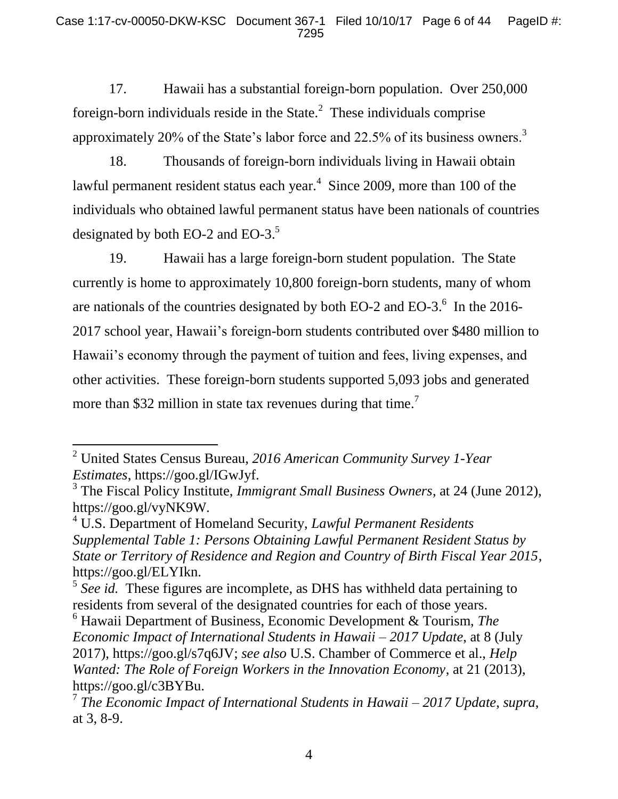17. Hawaii has a substantial foreign-born population. Over 250,000 foreign-born individuals reside in the State. $^2$  These individuals comprise approximately 20% of the State's labor force and 22.5% of its business owners.<sup>3</sup>

18. Thousands of foreign-born individuals living in Hawaii obtain lawful permanent resident status each year.<sup>4</sup> Since 2009, more than 100 of the individuals who obtained lawful permanent status have been nationals of countries designated by both EO-2 and EO-3. $5$ 

19. Hawaii has a large foreign-born student population. The State currently is home to approximately 10,800 foreign-born students, many of whom are nationals of the countries designated by both EO-2 and EO-3. $^6$  In the 2016-2017 school year, Hawaii's foreign-born students contributed over \$480 million to Hawaii's economy through the payment of tuition and fees, living expenses, and other activities. These foreign-born students supported 5,093 jobs and generated more than \$32 million in state tax revenues during that time.<sup>7</sup>

<sup>2</sup> United States Census Bureau, *2016 American Community Survey 1-Year Estimates*, https://goo.gl/IGwJyf.

<sup>3</sup> The Fiscal Policy Institute, *Immigrant Small Business Owners*, at 24 (June 2012), https://goo.gl/vyNK9W.

<sup>4</sup> U.S. Department of Homeland Security, *Lawful Permanent Residents Supplemental Table 1: Persons Obtaining Lawful Permanent Resident Status by State or Territory of Residence and Region and Country of Birth Fiscal Year 2015*, https://goo.gl/ELYIkn.

<sup>&</sup>lt;sup>5</sup> See id. These figures are incomplete, as DHS has withheld data pertaining to residents from several of the designated countries for each of those years.

<sup>6</sup> Hawaii Department of Business, Economic Development & Tourism, *The Economic Impact of International Students in Hawaii – 2017 Update*, at 8 (July 2017), https://goo.gl/s7q6JV; *see also* U.S. Chamber of Commerce et al., *Help Wanted: The Role of Foreign Workers in the Innovation Economy*, at 21 (2013), https://goo.gl/c3BYBu.

<sup>7</sup> *The Economic Impact of International Students in Hawaii – 2017 Update*, *supra*, at 3, 8-9.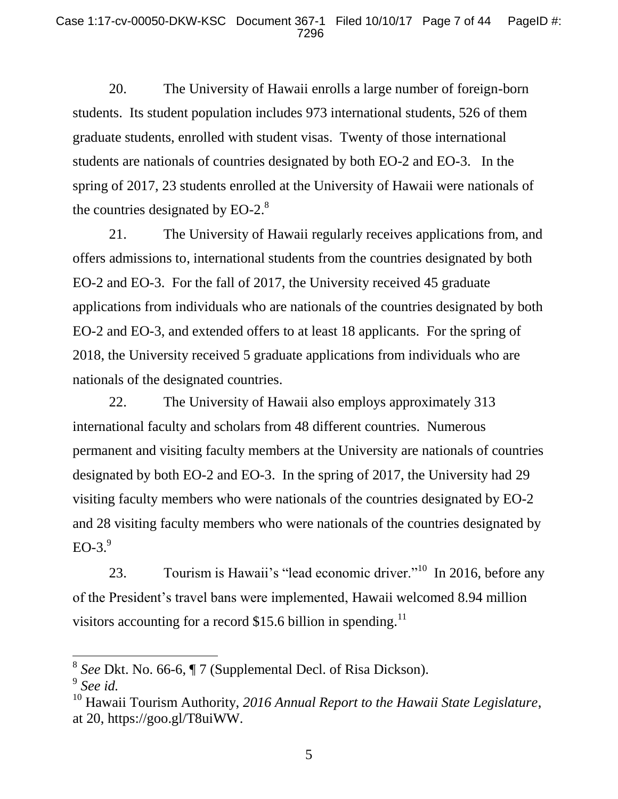20. The University of Hawaii enrolls a large number of foreign-born students. Its student population includes 973 international students, 526 of them graduate students, enrolled with student visas. Twenty of those international students are nationals of countries designated by both EO-2 and EO-3. In the spring of 2017, 23 students enrolled at the University of Hawaii were nationals of the countries designated by EO-2. $8$ 

21. The University of Hawaii regularly receives applications from, and offers admissions to, international students from the countries designated by both EO-2 and EO-3. For the fall of 2017, the University received 45 graduate applications from individuals who are nationals of the countries designated by both EO-2 and EO-3, and extended offers to at least 18 applicants. For the spring of 2018, the University received 5 graduate applications from individuals who are nationals of the designated countries.

22. The University of Hawaii also employs approximately 313 international faculty and scholars from 48 different countries. Numerous permanent and visiting faculty members at the University are nationals of countries designated by both EO-2 and EO-3. In the spring of 2017, the University had 29 visiting faculty members who were nationals of the countries designated by EO-2 and 28 visiting faculty members who were nationals of the countries designated by  $EO-3.<sup>9</sup>$ 

23. Tourism is Hawaii's "lead economic driver."<sup>10</sup> In 2016, before any of the President's travel bans were implemented, Hawaii welcomed 8.94 million visitors accounting for a record \$15.6 billion in spending.<sup>11</sup>

<sup>8</sup> *See* Dkt. No. 66-6, ¶ 7 (Supplemental Decl. of Risa Dickson).

<sup>9</sup> *See id.*

<sup>10</sup> Hawaii Tourism Authority, *2016 Annual Report to the Hawaii State Legislature*, at 20, https://goo.gl/T8uiWW.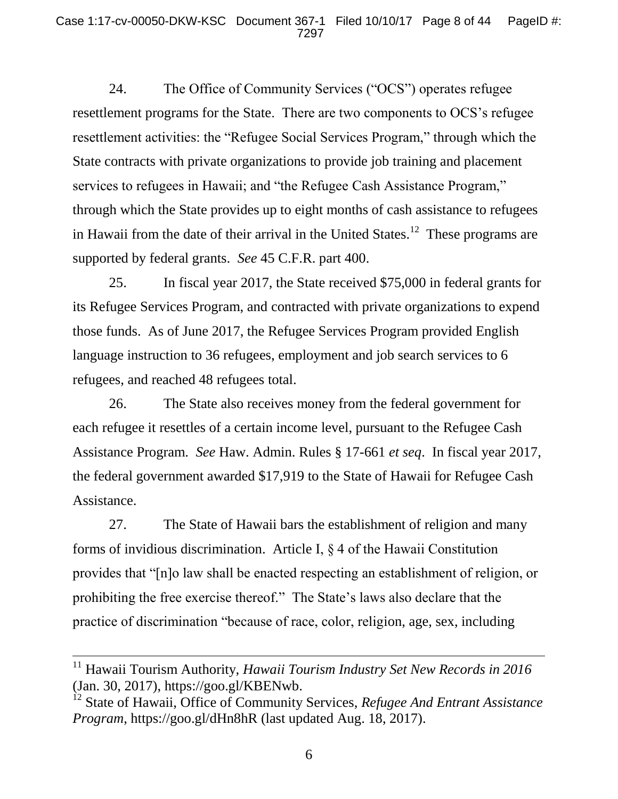24. The Office of Community Services ("OCS") operates refugee resettlement programs for the State. There are two components to OCS's refugee resettlement activities: the "Refugee Social Services Program," through which the State contracts with private organizations to provide job training and placement services to refugees in Hawaii; and "the Refugee Cash Assistance Program," through which the State provides up to eight months of cash assistance to refugees in Hawaii from the date of their arrival in the United States.<sup>12</sup> These programs are supported by federal grants. *See* 45 C.F.R. part 400.

25. In fiscal year 2017, the State received \$75,000 in federal grants for its Refugee Services Program, and contracted with private organizations to expend those funds. As of June 2017, the Refugee Services Program provided English language instruction to 36 refugees, employment and job search services to 6 refugees, and reached 48 refugees total.

26. The State also receives money from the federal government for each refugee it resettles of a certain income level, pursuant to the Refugee Cash Assistance Program. *See* Haw. Admin. Rules § 17-661 *et seq*. In fiscal year 2017, the federal government awarded \$17,919 to the State of Hawaii for Refugee Cash Assistance.

27. The State of Hawaii bars the establishment of religion and many forms of invidious discrimination. Article I, § 4 of the Hawaii Constitution provides that "[n]o law shall be enacted respecting an establishment of religion, or prohibiting the free exercise thereof." The State's laws also declare that the practice of discrimination "because of race, color, religion, age, sex, including

<sup>&</sup>lt;sup>11</sup> Hawaii Tourism Authority, *Hawaii Tourism Industry Set New Records in 2016* (Jan. 30, 2017), https://goo.gl/KBENwb.

<sup>12</sup> State of Hawaii, Office of Community Services, *Refugee And Entrant Assistance Program*, https://goo.gl/dHn8hR (last updated Aug. 18, 2017).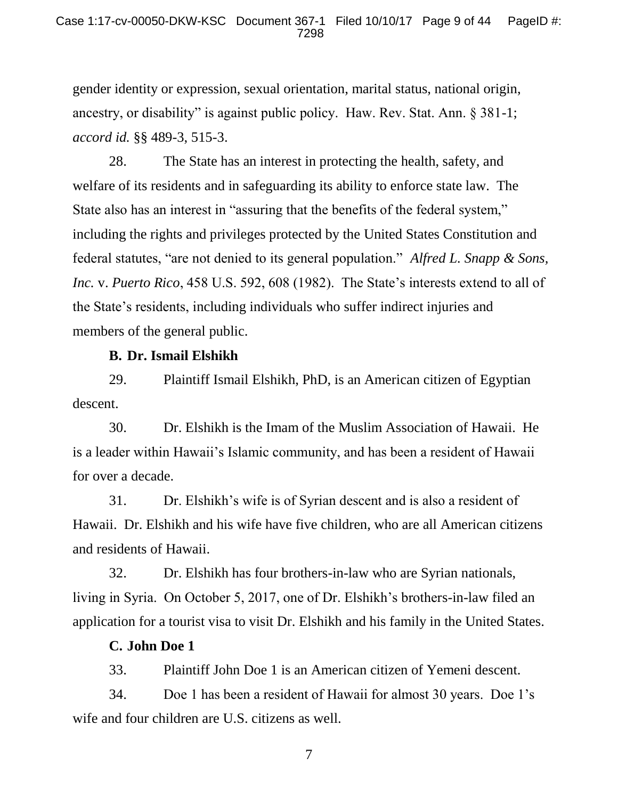gender identity or expression, sexual orientation, marital status, national origin, ancestry, or disability" is against public policy. Haw. Rev. Stat. Ann. § 381-1; *accord id.* §§ 489-3, 515-3.

28. The State has an interest in protecting the health, safety, and welfare of its residents and in safeguarding its ability to enforce state law. The State also has an interest in "assuring that the benefits of the federal system," including the rights and privileges protected by the United States Constitution and federal statutes, "are not denied to its general population." *Alfred L. Snapp & Sons, Inc.* v. *Puerto Rico*, 458 U.S. 592, 608 (1982). The State's interests extend to all of the State's residents, including individuals who suffer indirect injuries and members of the general public.

### **B. Dr. Ismail Elshikh**

29. Plaintiff Ismail Elshikh, PhD, is an American citizen of Egyptian descent.

30. Dr. Elshikh is the Imam of the Muslim Association of Hawaii. He is a leader within Hawaii's Islamic community, and has been a resident of Hawaii for over a decade.

31. Dr. Elshikh's wife is of Syrian descent and is also a resident of Hawaii. Dr. Elshikh and his wife have five children, who are all American citizens and residents of Hawaii.

32. Dr. Elshikh has four brothers-in-law who are Syrian nationals, living in Syria. On October 5, 2017, one of Dr. Elshikh's brothers-in-law filed an application for a tourist visa to visit Dr. Elshikh and his family in the United States.

### **C. John Doe 1**

33. Plaintiff John Doe 1 is an American citizen of Yemeni descent.

34. Doe 1 has been a resident of Hawaii for almost 30 years. Doe 1's wife and four children are U.S. citizens as well.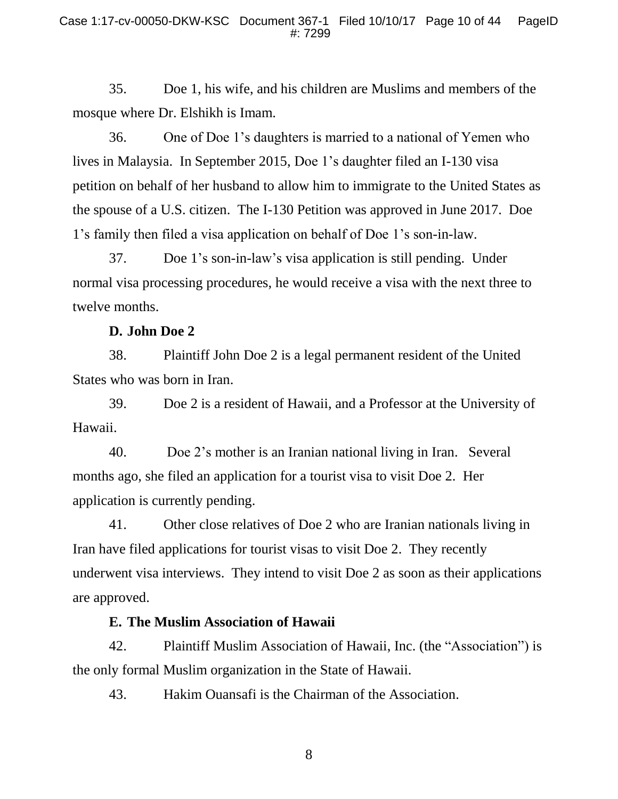35. Doe 1, his wife, and his children are Muslims and members of the mosque where Dr. Elshikh is Imam.

36. One of Doe 1's daughters is married to a national of Yemen who lives in Malaysia. In September 2015, Doe 1's daughter filed an I-130 visa petition on behalf of her husband to allow him to immigrate to the United States as the spouse of a U.S. citizen. The I-130 Petition was approved in June 2017. Doe 1's family then filed a visa application on behalf of Doe 1's son-in-law.

37. Doe 1's son-in-law's visa application is still pending. Under normal visa processing procedures, he would receive a visa with the next three to twelve months.

### **D. John Doe 2**

38. Plaintiff John Doe 2 is a legal permanent resident of the United States who was born in Iran.

39. Doe 2 is a resident of Hawaii, and a Professor at the University of Hawaii.

40. Doe 2's mother is an Iranian national living in Iran. Several months ago, she filed an application for a tourist visa to visit Doe 2. Her application is currently pending.

41. Other close relatives of Doe 2 who are Iranian nationals living in Iran have filed applications for tourist visas to visit Doe 2. They recently underwent visa interviews. They intend to visit Doe 2 as soon as their applications are approved.

### **E. The Muslim Association of Hawaii**

42. Plaintiff Muslim Association of Hawaii, Inc. (the "Association") is the only formal Muslim organization in the State of Hawaii.

43. Hakim Ouansafi is the Chairman of the Association.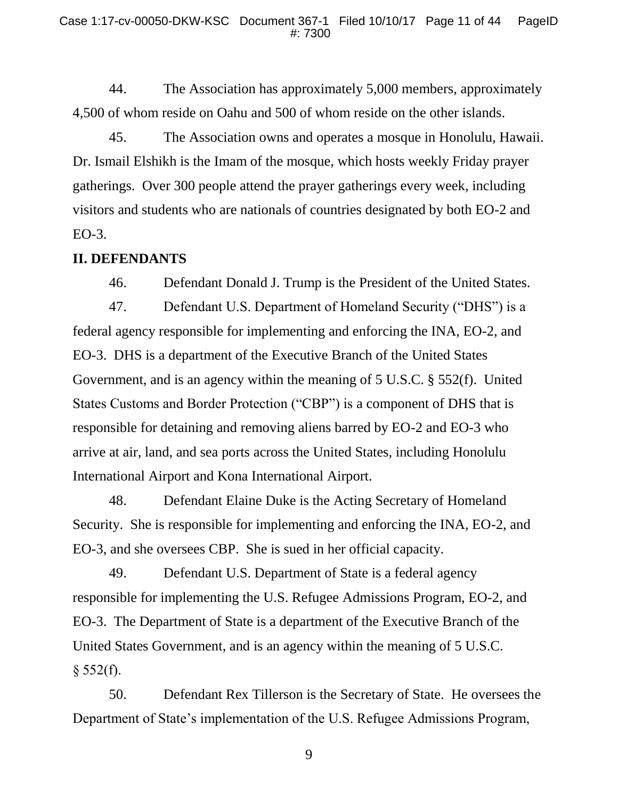44. The Association has approximately 5,000 members, approximately 4,500 of whom reside on Oahu and 500 of whom reside on the other islands.

45. The Association owns and operates a mosque in Honolulu, Hawaii. Dr. Ismail Elshikh is the Imam of the mosque, which hosts weekly Friday prayer gatherings. Over 300 people attend the prayer gatherings every week, including visitors and students who are nationals of countries designated by both EO-2 and EO-3.

### **II. DEFENDANTS**

46. Defendant Donald J. Trump is the President of the United States.

47. Defendant U.S. Department of Homeland Security ("DHS") is a federal agency responsible for implementing and enforcing the INA, EO-2, and EO-3. DHS is a department of the Executive Branch of the United States Government, and is an agency within the meaning of 5 U.S.C. § 552(f). United States Customs and Border Protection ("CBP") is a component of DHS that is responsible for detaining and removing aliens barred by EO-2 and EO-3 who arrive at air, land, and sea ports across the United States, including Honolulu International Airport and Kona International Airport.

48. Defendant Elaine Duke is the Acting Secretary of Homeland Security. She is responsible for implementing and enforcing the INA, EO-2, and EO-3, and she oversees CBP. She is sued in her official capacity.

49. Defendant U.S. Department of State is a federal agency responsible for implementing the U.S. Refugee Admissions Program, EO-2, and EO-3. The Department of State is a department of the Executive Branch of the United States Government, and is an agency within the meaning of 5 U.S.C.  $§ 552(f).$ 

50. Defendant Rex Tillerson is the Secretary of State. He oversees the Department of State's implementation of the U.S. Refugee Admissions Program,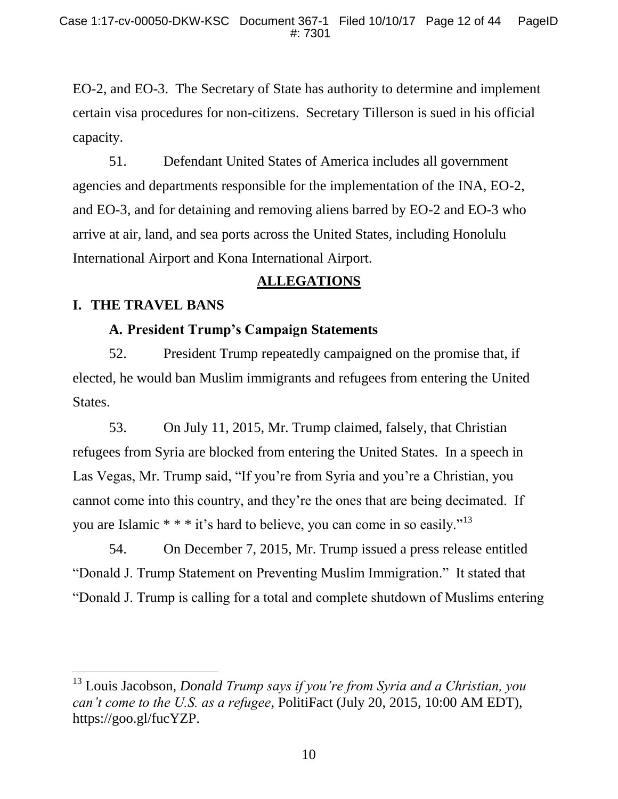EO-2, and EO-3. The Secretary of State has authority to determine and implement certain visa procedures for non-citizens. Secretary Tillerson is sued in his official capacity.

51. Defendant United States of America includes all government agencies and departments responsible for the implementation of the INA, EO-2, and EO-3, and for detaining and removing aliens barred by EO-2 and EO-3 who arrive at air, land, and sea ports across the United States, including Honolulu International Airport and Kona International Airport.

### **ALLEGATIONS**

### **I. THE TRAVEL BANS**

l

## **A. President Trump's Campaign Statements**

52. President Trump repeatedly campaigned on the promise that, if elected, he would ban Muslim immigrants and refugees from entering the United States.

53. On July 11, 2015, Mr. Trump claimed, falsely, that Christian refugees from Syria are blocked from entering the United States. In a speech in Las Vegas, Mr. Trump said, "If you're from Syria and you're a Christian, you cannot come into this country, and they're the ones that are being decimated. If you are Islamic  $**$  \* it's hard to believe, you can come in so easily."<sup>13</sup>

54. On December 7, 2015, Mr. Trump issued a press release entitled "Donald J. Trump Statement on Preventing Muslim Immigration." It stated that "Donald J. Trump is calling for a total and complete shutdown of Muslims entering

<sup>13</sup> Louis Jacobson, *Donald Trump says if you're from Syria and a Christian, you can't come to the U.S. as a refugee*, PolitiFact (July 20, 2015, 10:00 AM EDT), https://goo.gl/fucYZP.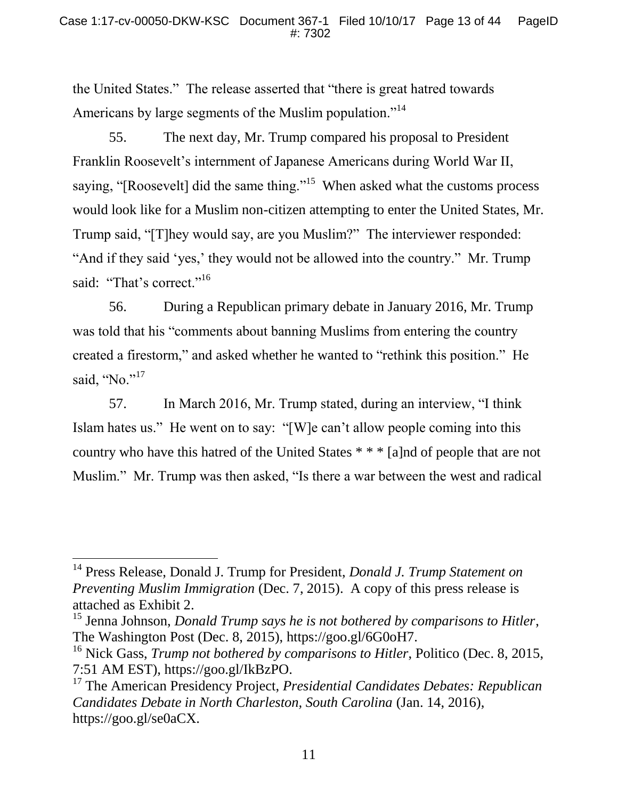the United States." The release asserted that "there is great hatred towards Americans by large segments of the Muslim population."<sup>14</sup>

55. The next day, Mr. Trump compared his proposal to President Franklin Roosevelt's internment of Japanese Americans during World War II, saying, "[Roosevelt] did the same thing."<sup>15</sup> When asked what the customs process would look like for a Muslim non-citizen attempting to enter the United States, Mr. Trump said, "[T]hey would say, are you Muslim?" The interviewer responded: "And if they said 'yes,' they would not be allowed into the country." Mr. Trump said: "That's correct."<sup>16</sup>

56. During a Republican primary debate in January 2016, Mr. Trump was told that his "comments about banning Muslims from entering the country created a firestorm," and asked whether he wanted to "rethink this position." He said, "No." $17$ 

57. In March 2016, Mr. Trump stated, during an interview, "I think Islam hates us." He went on to say: "[W]e can't allow people coming into this country who have this hatred of the United States \* \* \* [a]nd of people that are not Muslim." Mr. Trump was then asked, "Is there a war between the west and radical

 $\overline{a}$ 

<sup>14</sup> Press Release, Donald J. Trump for President, *Donald J. Trump Statement on Preventing Muslim Immigration* (Dec. 7, 2015). A copy of this press release is attached as Exhibit 2.

<sup>15</sup> Jenna Johnson, *Donald Trump says he is not bothered by comparisons to Hitler*, The Washington Post (Dec. 8, 2015), https://goo.gl/6G0oH7.

<sup>16</sup> Nick Gass, *Trump not bothered by comparisons to Hitler*, Politico (Dec. 8, 2015, 7:51 AM EST), https://goo.gl/IkBzPO.

<sup>17</sup> The American Presidency Project, *Presidential Candidates Debates: Republican Candidates Debate in North Charleston, South Carolina* (Jan. 14, 2016), https://goo.gl/se0aCX.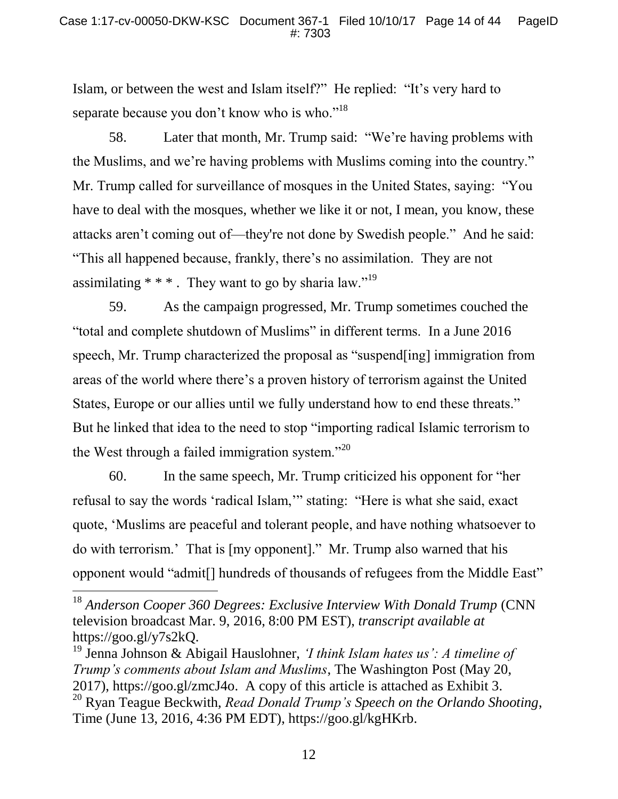Islam, or between the west and Islam itself?" He replied: "It's very hard to separate because you don't know who is who."<sup>18</sup>

58. Later that month, Mr. Trump said: "We're having problems with the Muslims, and we're having problems with Muslims coming into the country." Mr. Trump called for surveillance of mosques in the United States, saying: "You have to deal with the mosques, whether we like it or not, I mean, you know, these attacks aren't coming out of—they're not done by Swedish people." And he said: "This all happened because, frankly, there's no assimilation. They are not assimilating  $* * *$ . They want to go by sharia law."<sup>19</sup>

59. As the campaign progressed, Mr. Trump sometimes couched the "total and complete shutdown of Muslims" in different terms. In a June 2016 speech, Mr. Trump characterized the proposal as "suspend[ing] immigration from areas of the world where there's a proven history of terrorism against the United States, Europe or our allies until we fully understand how to end these threats." But he linked that idea to the need to stop "importing radical Islamic terrorism to the West through a failed immigration system."<sup>20</sup>

60. In the same speech, Mr. Trump criticized his opponent for "her refusal to say the words 'radical Islam,'" stating: "Here is what she said, exact quote, 'Muslims are peaceful and tolerant people, and have nothing whatsoever to do with terrorism.' That is [my opponent]." Mr. Trump also warned that his opponent would "admit[] hundreds of thousands of refugees from the Middle East"

 $\overline{a}$ 

<sup>&</sup>lt;sup>18</sup> Anderson Cooper 360 Degrees: Exclusive Interview With Donald Trump (CNN television broadcast Mar. 9, 2016, 8:00 PM EST), *transcript available at*  https://goo.gl/y7s2kQ.

<sup>19</sup> Jenna Johnson & Abigail Hauslohner, *'I think Islam hates us': A timeline of Trump's comments about Islam and Muslims*, The Washington Post (May 20, 2017), https://goo.gl/zmcJ4o. A copy of this article is attached as Exhibit 3. <sup>20</sup> Ryan Teague Beckwith, *Read Donald Trump's Speech on the Orlando Shooting*, Time (June 13, 2016, 4:36 PM EDT), https://goo.gl/kgHKrb.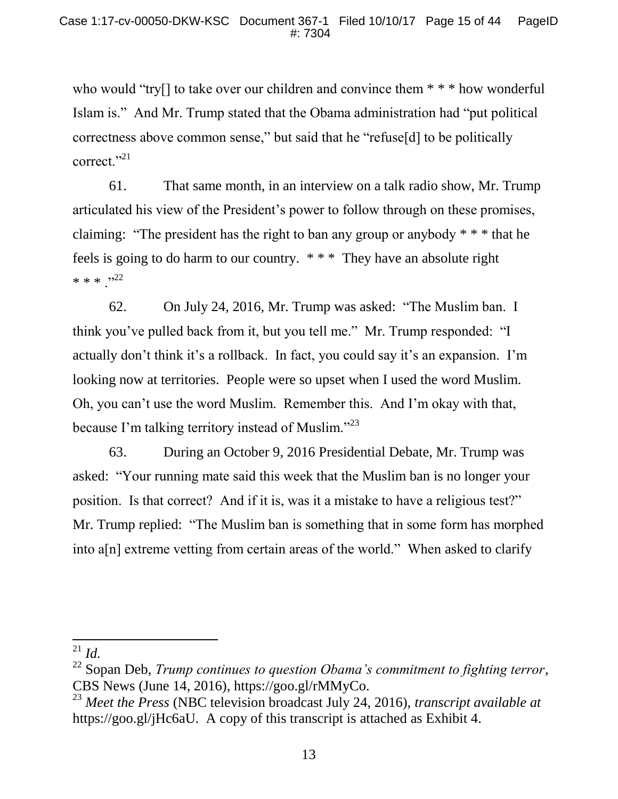who would "try[] to take over our children and convince them \* \* \* how wonderful Islam is." And Mr. Trump stated that the Obama administration had "put political correctness above common sense," but said that he "refuse[d] to be politically correct."<sup>21</sup>

61. That same month, in an interview on a talk radio show, Mr. Trump articulated his view of the President's power to follow through on these promises, claiming: "The president has the right to ban any group or anybody \* \* \* that he feels is going to do harm to our country. \* \* \* They have an absolute right  $* * * "22"$ 

62. On July 24, 2016, Mr. Trump was asked: "The Muslim ban. I think you've pulled back from it, but you tell me." Mr. Trump responded: "I actually don't think it's a rollback. In fact, you could say it's an expansion. I'm looking now at territories. People were so upset when I used the word Muslim. Oh, you can't use the word Muslim. Remember this. And I'm okay with that, because I'm talking territory instead of Muslim."<sup>23</sup>

63. During an October 9, 2016 Presidential Debate, Mr. Trump was asked: "Your running mate said this week that the Muslim ban is no longer your position. Is that correct? And if it is, was it a mistake to have a religious test?" Mr. Trump replied: "The Muslim ban is something that in some form has morphed into a[n] extreme vetting from certain areas of the world." When asked to clarify

l <sup>21</sup> *Id.*

<sup>22</sup> Sopan Deb, *Trump continues to question Obama's commitment to fighting terror*, CBS News (June 14, 2016), https://goo.gl/rMMyCo.

<sup>23</sup> *Meet the Press* (NBC television broadcast July 24, 2016), *transcript available at*  https://goo.gl/jHc6aU. A copy of this transcript is attached as Exhibit 4.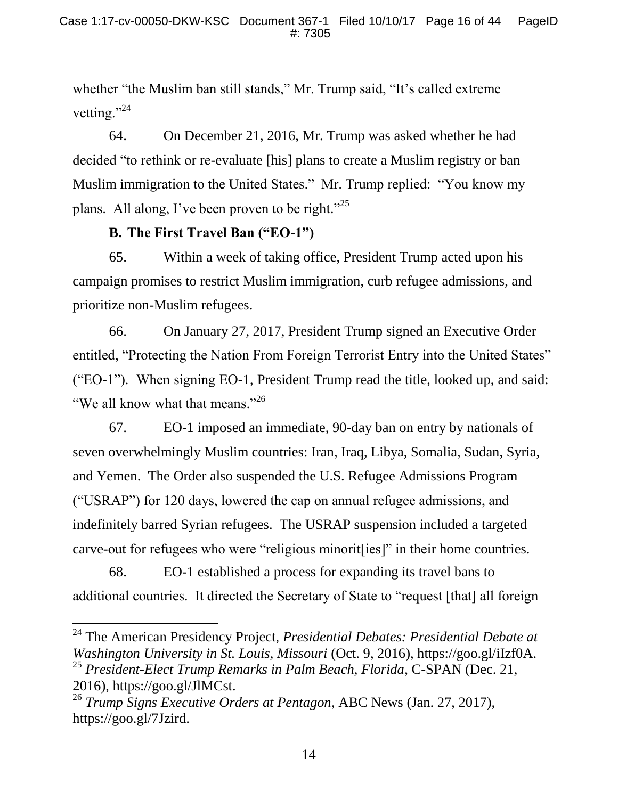whether "the Muslim ban still stands," Mr. Trump said, "It's called extreme" vetting."<sup>24</sup>

64. On December 21, 2016, Mr. Trump was asked whether he had decided "to rethink or re-evaluate [his] plans to create a Muslim registry or ban Muslim immigration to the United States." Mr. Trump replied: "You know my plans. All along, I've been proven to be right."<sup>25</sup>

## **B. The First Travel Ban ("EO-1")**

l

65. Within a week of taking office, President Trump acted upon his campaign promises to restrict Muslim immigration, curb refugee admissions, and prioritize non-Muslim refugees.

66. On January 27, 2017, President Trump signed an Executive Order entitled, "Protecting the Nation From Foreign Terrorist Entry into the United States" ("EO-1"). When signing EO-1, President Trump read the title, looked up, and said: "We all know what that means."<sup>26</sup>

67. EO-1 imposed an immediate, 90-day ban on entry by nationals of seven overwhelmingly Muslim countries: Iran, Iraq, Libya, Somalia, Sudan, Syria, and Yemen. The Order also suspended the U.S. Refugee Admissions Program ("USRAP") for 120 days, lowered the cap on annual refugee admissions, and indefinitely barred Syrian refugees. The USRAP suspension included a targeted carve-out for refugees who were "religious minorit[ies]" in their home countries.

68. EO-1 established a process for expanding its travel bans to additional countries. It directed the Secretary of State to "request [that] all foreign

<sup>24</sup> The American Presidency Project, *Presidential Debates: Presidential Debate at Washington University in St. Louis, Missouri* (Oct. 9, 2016), https://goo.gl/iIzf0A. <sup>25</sup> *President-Elect Trump Remarks in Palm Beach, Florida*, C-SPAN (Dec. 21, 2016), https://goo.gl/JlMCst.

<sup>26</sup> *Trump Signs Executive Orders at Pentagon*, ABC News (Jan. 27, 2017), https://goo.gl/7Jzird.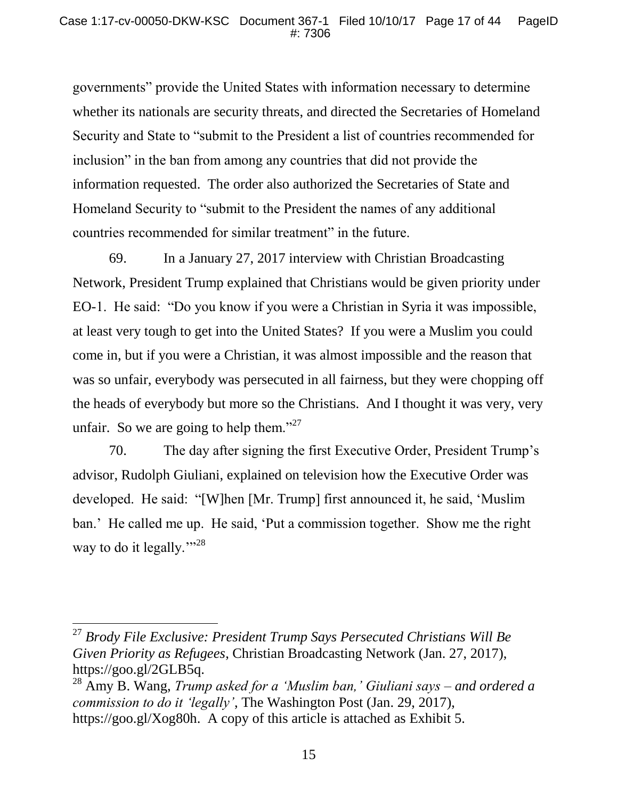governments" provide the United States with information necessary to determine whether its nationals are security threats, and directed the Secretaries of Homeland Security and State to "submit to the President a list of countries recommended for inclusion" in the ban from among any countries that did not provide the information requested. The order also authorized the Secretaries of State and Homeland Security to "submit to the President the names of any additional countries recommended for similar treatment" in the future.

69. In a January 27, 2017 interview with Christian Broadcasting Network, President Trump explained that Christians would be given priority under EO-1. He said: "Do you know if you were a Christian in Syria it was impossible, at least very tough to get into the United States? If you were a Muslim you could come in, but if you were a Christian, it was almost impossible and the reason that was so unfair, everybody was persecuted in all fairness, but they were chopping off the heads of everybody but more so the Christians. And I thought it was very, very unfair. So we are going to help them." $27$ 

70. The day after signing the first Executive Order, President Trump's advisor, Rudolph Giuliani, explained on television how the Executive Order was developed. He said: "[W]hen [Mr. Trump] first announced it, he said, 'Muslim ban.' He called me up. He said, 'Put a commission together. Show me the right way to do it legally."<sup>28</sup>

<sup>27</sup> *Brody File Exclusive: President Trump Says Persecuted Christians Will Be Given Priority as Refugees*, Christian Broadcasting Network (Jan. 27, 2017), https://goo.gl/2GLB5q.

<sup>28</sup> Amy B. Wang, *Trump asked for a 'Muslim ban,' Giuliani says – and ordered a commission to do it 'legally'*, The Washington Post (Jan. 29, 2017), https://goo.gl/Xog80h. A copy of this article is attached as Exhibit 5.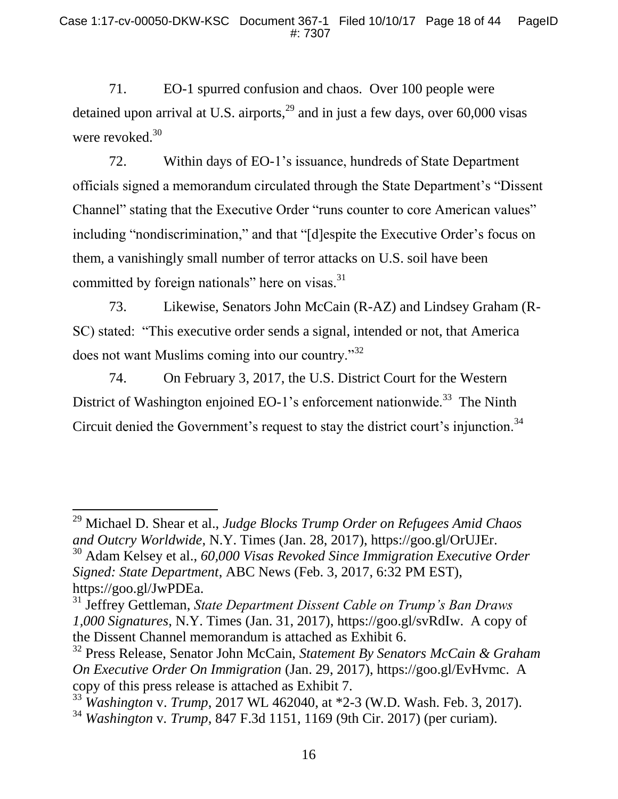71. EO-1 spurred confusion and chaos. Over 100 people were detained upon arrival at U.S. airports, $^{29}$  and in just a few days, over 60,000 visas were revoked.<sup>30</sup>

72. Within days of EO-1's issuance, hundreds of State Department officials signed a memorandum circulated through the State Department's "Dissent Channel" stating that the Executive Order "runs counter to core American values" including "nondiscrimination," and that "[d]espite the Executive Order's focus on them, a vanishingly small number of terror attacks on U.S. soil have been committed by foreign nationals" here on visas.<sup>31</sup>

73. Likewise, Senators John McCain (R-AZ) and Lindsey Graham (R-SC) stated: "This executive order sends a signal, intended or not, that America does not want Muslims coming into our country."<sup>32</sup>

74. On February 3, 2017, the U.S. District Court for the Western District of Washington enjoined EO-1's enforcement nationwide.<sup>33</sup> The Ninth Circuit denied the Government's request to stay the district court's injunction.<sup>34</sup>

<sup>29</sup> Michael D. Shear et al., *Judge Blocks Trump Order on Refugees Amid Chaos and Outcry Worldwide*, N.Y. Times (Jan. 28, 2017), https://goo.gl/OrUJEr.

<sup>30</sup> Adam Kelsey et al., *60,000 Visas Revoked Since Immigration Executive Order Signed: State Department*, ABC News (Feb. 3, 2017, 6:32 PM EST), https://goo.gl/JwPDEa.

<sup>31</sup> Jeffrey Gettleman, *State Department Dissent Cable on Trump's Ban Draws 1,000 Signatures*, N.Y. Times (Jan. 31, 2017), https://goo.gl/svRdIw. A copy of the Dissent Channel memorandum is attached as Exhibit 6.

<sup>32</sup> Press Release, Senator John McCain, *Statement By Senators McCain & Graham On Executive Order On Immigration* (Jan. 29, 2017), https://goo.gl/EvHvmc. A copy of this press release is attached as Exhibit 7.

<sup>33</sup> *Washington* v. *Trump*, 2017 WL 462040, at \*2-3 (W.D. Wash. Feb. 3, 2017).

<sup>34</sup> *Washington* v*. Trump*, 847 F.3d 1151, 1169 (9th Cir. 2017) (per curiam).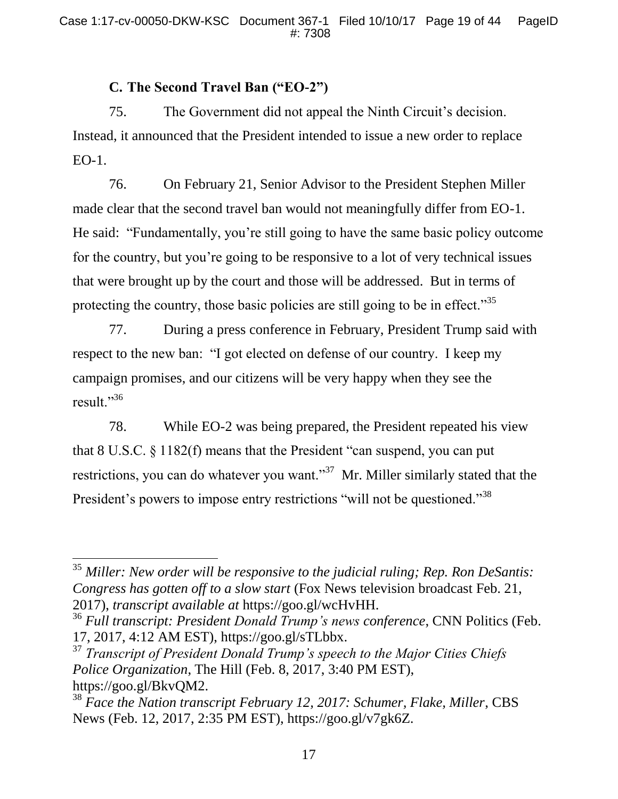# **C. The Second Travel Ban ("EO-2")**

75. The Government did not appeal the Ninth Circuit's decision. Instead, it announced that the President intended to issue a new order to replace EO-1.

76. On February 21, Senior Advisor to the President Stephen Miller made clear that the second travel ban would not meaningfully differ from EO-1. He said: "Fundamentally, you're still going to have the same basic policy outcome for the country, but you're going to be responsive to a lot of very technical issues that were brought up by the court and those will be addressed. But in terms of protecting the country, those basic policies are still going to be in effect."<sup>35</sup>

77. During a press conference in February, President Trump said with respect to the new ban: "I got elected on defense of our country. I keep my campaign promises, and our citizens will be very happy when they see the result."<sup>36</sup>

78. While EO-2 was being prepared, the President repeated his view that 8 U.S.C. § 1182(f) means that the President "can suspend, you can put restrictions, you can do whatever you want."<sup>37</sup> Mr. Miller similarly stated that the President's powers to impose entry restrictions "will not be questioned."<sup>38</sup>

 $\overline{a}$ 

<sup>35</sup> *Miller: New order will be responsive to the judicial ruling; Rep. Ron DeSantis: Congress has gotten off to a slow start* (Fox News television broadcast Feb. 21, 2017), *transcript available at* https://goo.gl/wcHvHH.

<sup>36</sup> *Full transcript: President Donald Trump's news conference*, CNN Politics (Feb. 17, 2017, 4:12 AM EST), https://goo.gl/sTLbbx.

<sup>37</sup> *Transcript of President Donald Trump's speech to the Major Cities Chiefs Police Organization*, The Hill (Feb. 8, 2017, 3:40 PM EST), https://goo.gl/BkvQM2.

<sup>38</sup> *Face the Nation transcript February 12, 2017: Schumer, Flake, Miller*, CBS News (Feb. 12, 2017, 2:35 PM EST), https://goo.gl/v7gk6Z.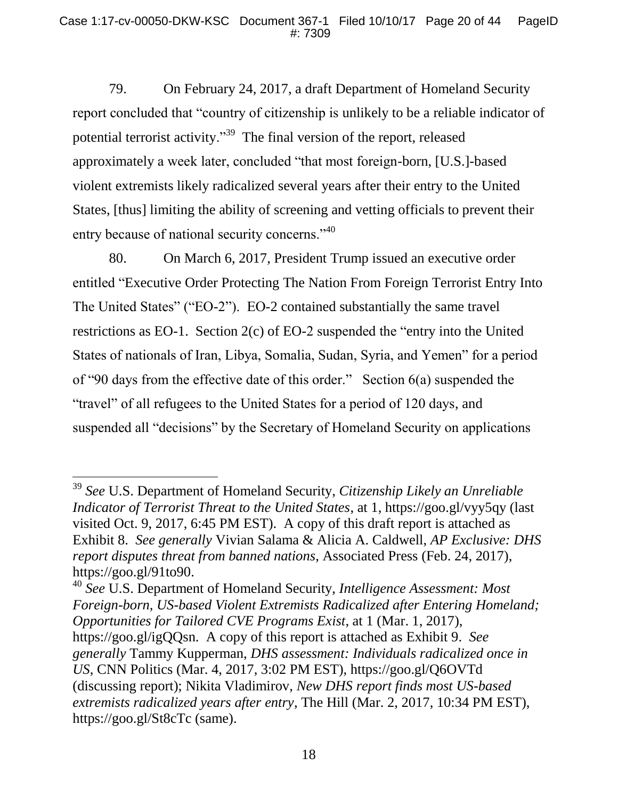79. On February 24, 2017, a draft Department of Homeland Security report concluded that "country of citizenship is unlikely to be a reliable indicator of potential terrorist activity."<sup>39</sup> The final version of the report, released approximately a week later, concluded "that most foreign-born, [U.S.]-based violent extremists likely radicalized several years after their entry to the United States, [thus] limiting the ability of screening and vetting officials to prevent their entry because of national security concerns."<sup>40</sup>

80. On March 6, 2017, President Trump issued an executive order entitled "Executive Order Protecting The Nation From Foreign Terrorist Entry Into The United States" ("EO-2"). EO-2 contained substantially the same travel restrictions as EO-1. Section 2(c) of EO-2 suspended the "entry into the United States of nationals of Iran, Libya, Somalia, Sudan, Syria, and Yemen" for a period of "90 days from the effective date of this order." Section 6(a) suspended the "travel" of all refugees to the United States for a period of 120 days, and suspended all "decisions" by the Secretary of Homeland Security on applications

 $\overline{a}$ 

<sup>40</sup> *See* U.S. Department of Homeland Security, *Intelligence Assessment: Most Foreign-born, US-based Violent Extremists Radicalized after Entering Homeland; Opportunities for Tailored CVE Programs Exist*, at 1 (Mar. 1, 2017), https://goo.gl/igQQsn. A copy of this report is attached as Exhibit 9. *See generally* Tammy Kupperman, *DHS assessment: Individuals radicalized once in US*, CNN Politics (Mar. 4, 2017, 3:02 PM EST), https://goo.gl/Q6OVTd (discussing report); Nikita Vladimirov, *New DHS report finds most US-based extremists radicalized years after entry*, The Hill (Mar. 2, 2017, 10:34 PM EST), https://goo.gl/St8cTc (same).

<sup>39</sup> *See* U.S. Department of Homeland Security, *Citizenship Likely an Unreliable Indicator of Terrorist Threat to the United States*, at 1, https://goo.gl/vyy5qy (last visited Oct. 9, 2017, 6:45 PM EST). A copy of this draft report is attached as Exhibit 8. *See generally* Vivian Salama & Alicia A. Caldwell, *AP Exclusive: DHS report disputes threat from banned nations*, Associated Press (Feb. 24, 2017), https://goo.gl/91to90.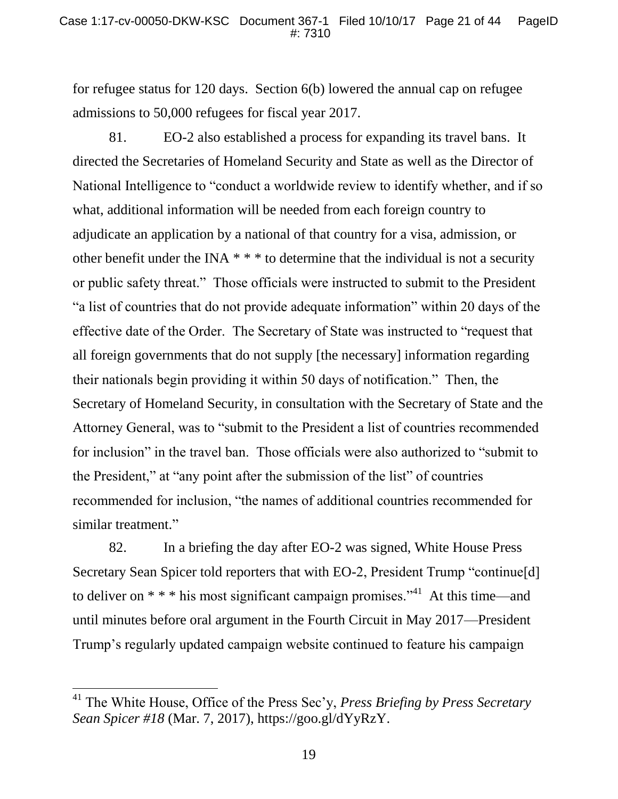for refugee status for 120 days. Section 6(b) lowered the annual cap on refugee admissions to 50,000 refugees for fiscal year 2017.

81. EO-2 also established a process for expanding its travel bans. It directed the Secretaries of Homeland Security and State as well as the Director of National Intelligence to "conduct a worldwide review to identify whether, and if so what, additional information will be needed from each foreign country to adjudicate an application by a national of that country for a visa, admission, or other benefit under the INA \* \* \* to determine that the individual is not a security or public safety threat." Those officials were instructed to submit to the President "a list of countries that do not provide adequate information" within 20 days of the effective date of the Order. The Secretary of State was instructed to "request that all foreign governments that do not supply [the necessary] information regarding their nationals begin providing it within 50 days of notification." Then, the Secretary of Homeland Security, in consultation with the Secretary of State and the Attorney General, was to "submit to the President a list of countries recommended for inclusion" in the travel ban. Those officials were also authorized to "submit to the President," at "any point after the submission of the list" of countries recommended for inclusion, "the names of additional countries recommended for similar treatment."

82. In a briefing the day after EO-2 was signed, White House Press Secretary Sean Spicer told reporters that with EO-2, President Trump "continue[d] to deliver on  $* * *$  his most significant campaign promises."<sup>41</sup> At this time—and until minutes before oral argument in the Fourth Circuit in May 2017—President Trump's regularly updated campaign website continued to feature his campaign

<sup>41</sup> The White House, Office of the Press Sec'y, *Press Briefing by Press Secretary Sean Spicer #18* (Mar. 7, 2017), https://goo.gl/dYyRzY.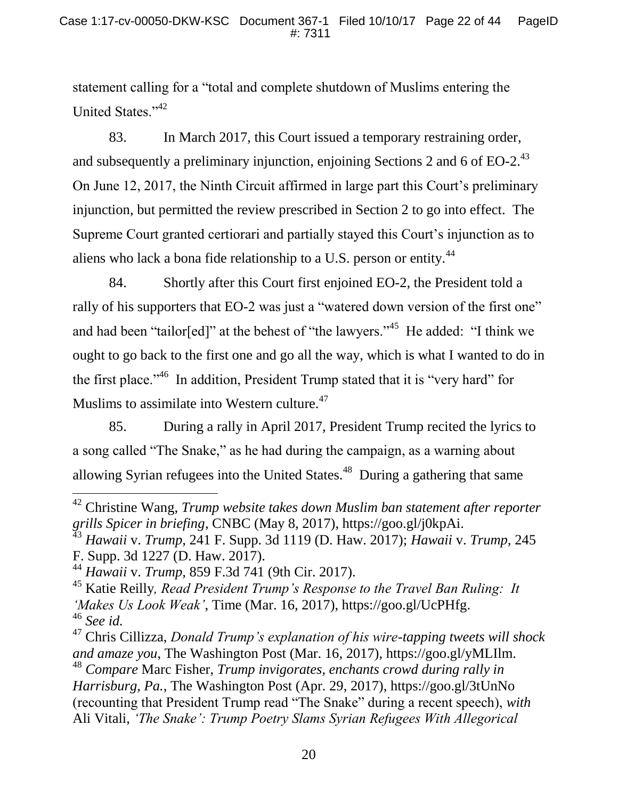statement calling for a "total and complete shutdown of Muslims entering the United States."<sup>42</sup>

83. In March 2017, this Court issued a temporary restraining order, and subsequently a preliminary injunction, enjoining Sections 2 and 6 of EO-2.<sup>43</sup> On June 12, 2017, the Ninth Circuit affirmed in large part this Court's preliminary injunction, but permitted the review prescribed in Section 2 to go into effect. The Supreme Court granted certiorari and partially stayed this Court's injunction as to aliens who lack a bona fide relationship to a U.S. person or entity.<sup>44</sup>

84. Shortly after this Court first enjoined EO-2, the President told a rally of his supporters that EO-2 was just a "watered down version of the first one" and had been "tailor[ed]" at the behest of "the lawyers."<sup>45</sup> He added: "I think we ought to go back to the first one and go all the way, which is what I wanted to do in the first place."<sup>46</sup> In addition, President Trump stated that it is "very hard" for Muslims to assimilate into Western culture.<sup>47</sup>

85. During a rally in April 2017, President Trump recited the lyrics to a song called "The Snake," as he had during the campaign, as a warning about allowing Syrian refugees into the United States. $48$  During a gathering that same

<sup>42</sup> Christine Wang, *Trump website takes down Muslim ban statement after reporter grills Spicer in briefing*, CNBC (May 8, 2017), https://goo.gl/j0kpAi.

<sup>43</sup> *Hawaii* v. *Trump,* 241 F. Supp. 3d 1119 (D. Haw. 2017); *Hawaii* v. *Trump,* 245

F. Supp. 3d 1227 (D. Haw. 2017).

<sup>44</sup> *Hawaii* v. *Trump,* 859 F.3d 741 (9th Cir. 2017).

<sup>45</sup> Katie Reilly*, Read President Trump's Response to the Travel Ban Ruling: It 'Makes Us Look Weak'*, Time (Mar. 16, 2017), https://goo.gl/UcPHfg. <sup>46</sup> *See id.*

<sup>47</sup> Chris Cillizza, *Donald Trump's explanation of his wire-tapping tweets will shock and amaze you*, The Washington Post (Mar. 16, 2017), https://goo.gl/yMLIlm. <sup>48</sup> *Compare* Marc Fisher, *Trump invigorates, enchants crowd during rally in Harrisburg, Pa.*, The Washington Post (Apr. 29, 2017), https://goo.gl/3tUnNo (recounting that President Trump read "The Snake" during a recent speech), *with*  Ali Vitali, *'The Snake': Trump Poetry Slams Syrian Refugees With Allegorical*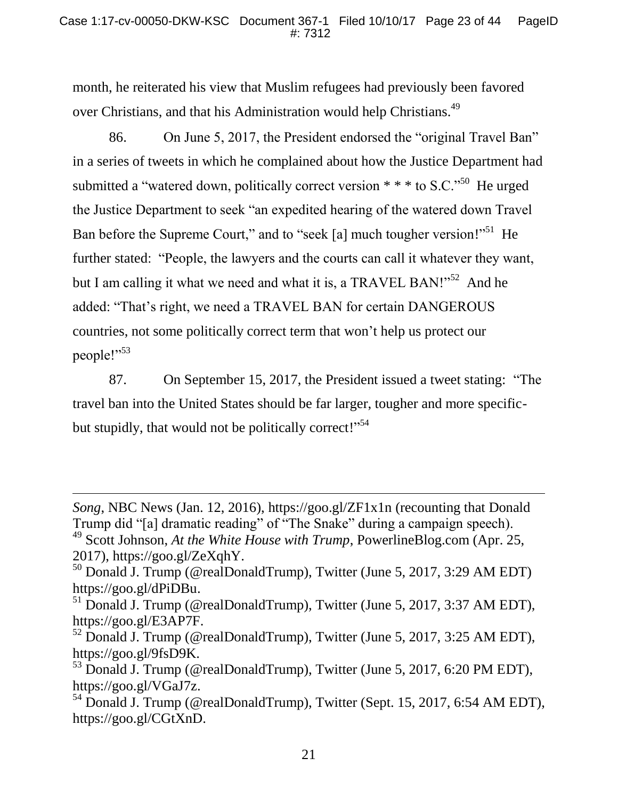month, he reiterated his view that Muslim refugees had previously been favored over Christians, and that his Administration would help Christians.<sup>49</sup>

86. On June 5, 2017, the President endorsed the "original Travel Ban" in a series of tweets in which he complained about how the Justice Department had submitted a "watered down, politically correct version  $* * *$  to S.C."<sup>50</sup> He urged the Justice Department to seek "an expedited hearing of the watered down Travel Ban before the Supreme Court," and to "seek [a] much tougher version!"<sup>51</sup> He further stated: "People, the lawyers and the courts can call it whatever they want, but I am calling it what we need and what it is, a TRAVEL BAN!"<sup>52</sup> And he added: "That's right, we need a TRAVEL BAN for certain DANGEROUS countries, not some politically correct term that won't help us protect our people!"<sup>53</sup>

87. On September 15, 2017, the President issued a tweet stating: "The travel ban into the United States should be far larger, tougher and more specificbut stupidly, that would not be politically correct!"<sup>54</sup>

*Song*, NBC News (Jan. 12, 2016), https://goo.gl/ZF1x1n (recounting that Donald Trump did "[a] dramatic reading" of "The Snake" during a campaign speech).

<sup>49</sup> Scott Johnson, *At the White House with Trump*, PowerlineBlog.com (Apr. 25, 2017), https://goo.gl/ZeXqhY.

<sup>50</sup> Donald J. Trump (@realDonaldTrump), Twitter (June 5, 2017, 3:29 AM EDT) https://goo.gl/dPiDBu.

 $^{51}$  Donald J. Trump (@realDonaldTrump), Twitter (June 5, 2017, 3:37 AM EDT), https://goo.gl/E3AP7F.

 $52$  Donald J. Trump (@realDonaldTrump), Twitter (June 5, 2017, 3:25 AM EDT), https://goo.gl/9fsD9K.

<sup>&</sup>lt;sup>53</sup> Donald J. Trump (@realDonaldTrump), Twitter (June 5, 2017, 6:20 PM EDT), https://goo.gl/VGaJ7z.

<sup>54</sup> Donald J. Trump (@realDonaldTrump), Twitter (Sept. 15, 2017, 6:54 AM EDT), https://goo.gl/CGtXnD.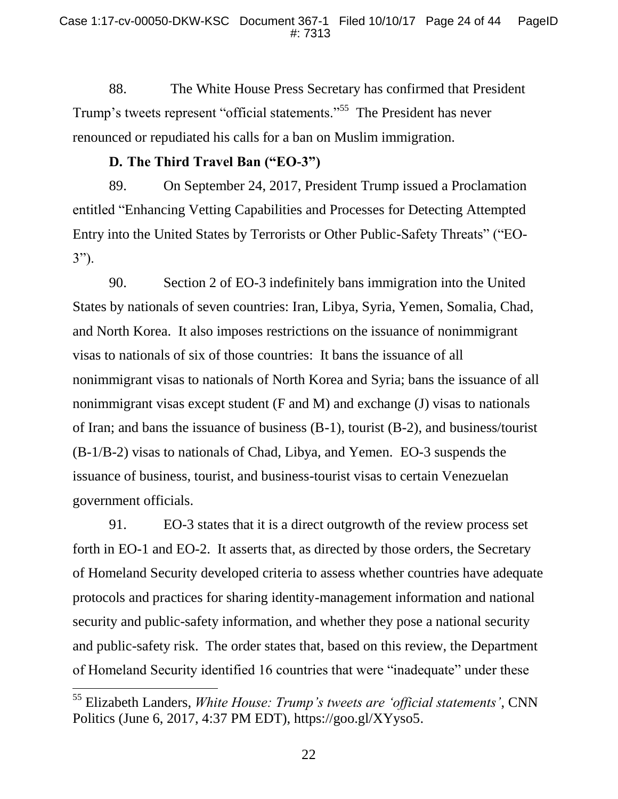88. The White House Press Secretary has confirmed that President Trump's tweets represent "official statements."<sup>55</sup> The President has never renounced or repudiated his calls for a ban on Muslim immigration.

# **D. The Third Travel Ban ("EO-3")**

89. On September 24, 2017, President Trump issued a Proclamation entitled "Enhancing Vetting Capabilities and Processes for Detecting Attempted Entry into the United States by Terrorists or Other Public-Safety Threats" ("EO-3").

90. Section 2 of EO-3 indefinitely bans immigration into the United States by nationals of seven countries: Iran, Libya, Syria, Yemen, Somalia, Chad, and North Korea. It also imposes restrictions on the issuance of nonimmigrant visas to nationals of six of those countries: It bans the issuance of all nonimmigrant visas to nationals of North Korea and Syria; bans the issuance of all nonimmigrant visas except student (F and M) and exchange (J) visas to nationals of Iran; and bans the issuance of business (B-1), tourist (B-2), and business/tourist (B-1/B-2) visas to nationals of Chad, Libya, and Yemen. EO-3 suspends the issuance of business, tourist, and business-tourist visas to certain Venezuelan government officials.

91. EO-3 states that it is a direct outgrowth of the review process set forth in EO-1 and EO-2. It asserts that, as directed by those orders, the Secretary of Homeland Security developed criteria to assess whether countries have adequate protocols and practices for sharing identity-management information and national security and public-safety information, and whether they pose a national security and public-safety risk. The order states that, based on this review, the Department of Homeland Security identified 16 countries that were "inadequate" under these

<sup>55</sup> Elizabeth Landers, *White House: Trump's tweets are 'official statements'*, CNN Politics (June 6, 2017, 4:37 PM EDT), https://goo.gl/XYyso5.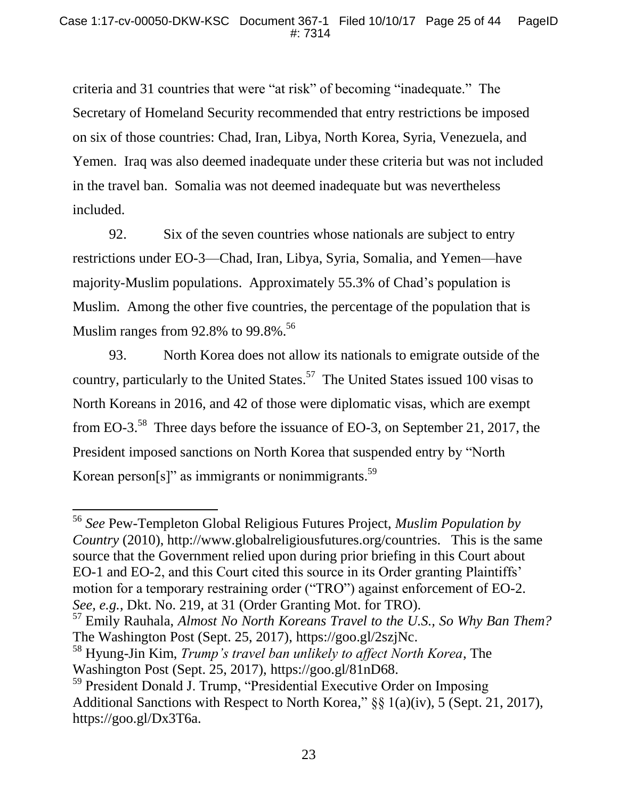criteria and 31 countries that were "at risk" of becoming "inadequate." The Secretary of Homeland Security recommended that entry restrictions be imposed on six of those countries: Chad, Iran, Libya, North Korea, Syria, Venezuela, and Yemen. Iraq was also deemed inadequate under these criteria but was not included in the travel ban. Somalia was not deemed inadequate but was nevertheless included.

92. Six of the seven countries whose nationals are subject to entry restrictions under EO-3—Chad, Iran, Libya, Syria, Somalia, and Yemen—have majority-Muslim populations. Approximately 55.3% of Chad's population is Muslim. Among the other five countries, the percentage of the population that is Muslim ranges from  $92.8\%$  to  $99.8\%$ .<sup>56</sup>

93. North Korea does not allow its nationals to emigrate outside of the country, particularly to the United States.<sup>57</sup> The United States issued 100 visas to North Koreans in 2016, and 42 of those were diplomatic visas, which are exempt from EO-3.<sup>58</sup> Three days before the issuance of EO-3, on September 21, 2017, the President imposed sanctions on North Korea that suspended entry by "North Korean person $[s]$ " as immigrants or nonimmigrants.<sup>59</sup>

<sup>56</sup> *See* Pew-Templeton Global Religious Futures Project, *Muslim Population by Country* (2010), http://www.globalreligiousfutures.org/countries. This is the same source that the Government relied upon during prior briefing in this Court about EO-1 and EO-2, and this Court cited this source in its Order granting Plaintiffs' motion for a temporary restraining order ("TRO") against enforcement of EO-2. *See, e.g.*, Dkt. No. 219, at 31 (Order Granting Mot. for TRO).

<sup>57</sup> Emily Rauhala, *Almost No North Koreans Travel to the U.S., So Why Ban Them?* The Washington Post (Sept. 25, 2017), [https://goo.gl/2szjNc.](https://goo.gl/2szjNc)

<sup>58</sup> Hyung-Jin Kim, *Trump's travel ban unlikely to affect North Korea*, The Washington Post (Sept. 25, 2017), https://goo.gl/81nD68.

<sup>59</sup> President Donald J. Trump, "Presidential Executive Order on Imposing Additional Sanctions with Respect to North Korea," §§ 1(a)(iv), 5 (Sept. 21, 2017), https://goo.gl/Dx3T6a.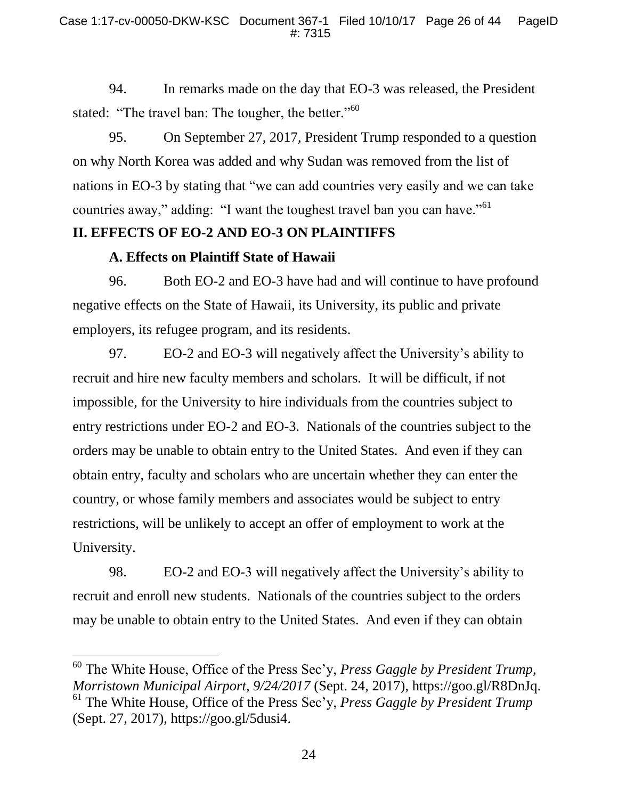94. In remarks made on the day that EO-3 was released, the President stated: "The travel ban: The tougher, the better."<sup>60</sup>

95. On September 27, 2017, President Trump responded to a question on why North Korea was added and why Sudan was removed from the list of nations in EO-3 by stating that "we can add countries very easily and we can take countries away," adding: "I want the toughest travel ban you can have."<sup>61</sup>

# **II. EFFECTS OF EO-2 AND EO-3 ON PLAINTIFFS**

## **A. Effects on Plaintiff State of Hawaii**

l

96. Both EO-2 and EO-3 have had and will continue to have profound negative effects on the State of Hawaii, its University, its public and private employers, its refugee program, and its residents.

97. EO-2 and EO-3 will negatively affect the University's ability to recruit and hire new faculty members and scholars. It will be difficult, if not impossible, for the University to hire individuals from the countries subject to entry restrictions under EO-2 and EO-3. Nationals of the countries subject to the orders may be unable to obtain entry to the United States. And even if they can obtain entry, faculty and scholars who are uncertain whether they can enter the country, or whose family members and associates would be subject to entry restrictions, will be unlikely to accept an offer of employment to work at the University.

98. EO-2 and EO-3 will negatively affect the University's ability to recruit and enroll new students. Nationals of the countries subject to the orders may be unable to obtain entry to the United States. And even if they can obtain

<sup>60</sup> The White House, Office of the Press Sec'y, *Press Gaggle by President Trump, Morristown Municipal Airport, 9/24/2017* (Sept. 24, 2017), https://goo.gl/R8DnJq. <sup>61</sup> The White House, Office of the Press Sec'y, *Press Gaggle by President Trump* (Sept. 27, 2017), https://goo.gl/5dusi4.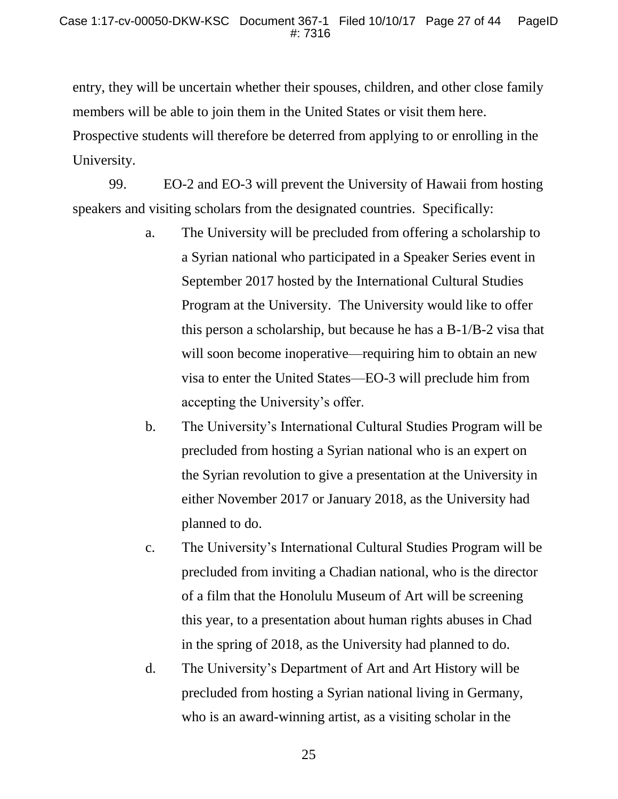entry, they will be uncertain whether their spouses, children, and other close family members will be able to join them in the United States or visit them here. Prospective students will therefore be deterred from applying to or enrolling in the University.

99. EO-2 and EO-3 will prevent the University of Hawaii from hosting speakers and visiting scholars from the designated countries. Specifically:

- a. The University will be precluded from offering a scholarship to a Syrian national who participated in a Speaker Series event in September 2017 hosted by the International Cultural Studies Program at the University. The University would like to offer this person a scholarship, but because he has a B-1/B-2 visa that will soon become inoperative—requiring him to obtain an new visa to enter the United States—EO-3 will preclude him from accepting the University's offer.
- b. The University's International Cultural Studies Program will be precluded from hosting a Syrian national who is an expert on the Syrian revolution to give a presentation at the University in either November 2017 or January 2018, as the University had planned to do.
- c. The University's International Cultural Studies Program will be precluded from inviting a Chadian national, who is the director of a film that the Honolulu Museum of Art will be screening this year, to a presentation about human rights abuses in Chad in the spring of 2018, as the University had planned to do.
- d. The University's Department of Art and Art History will be precluded from hosting a Syrian national living in Germany, who is an award-winning artist, as a visiting scholar in the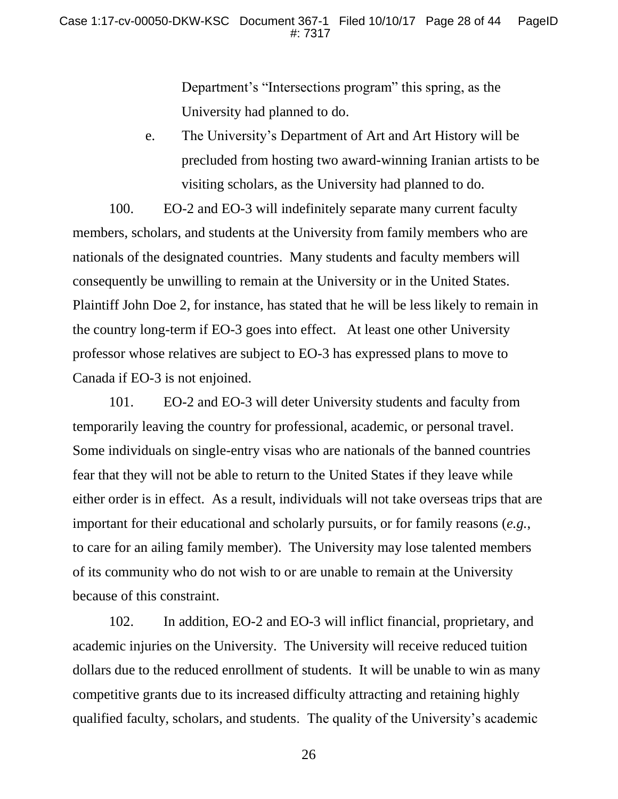Department's "Intersections program" this spring, as the University had planned to do.

e. The University's Department of Art and Art History will be precluded from hosting two award-winning Iranian artists to be visiting scholars, as the University had planned to do.

100. EO-2 and EO-3 will indefinitely separate many current faculty members, scholars, and students at the University from family members who are nationals of the designated countries. Many students and faculty members will consequently be unwilling to remain at the University or in the United States. Plaintiff John Doe 2, for instance, has stated that he will be less likely to remain in the country long-term if EO-3 goes into effect. At least one other University professor whose relatives are subject to EO-3 has expressed plans to move to Canada if EO-3 is not enjoined.

101. EO-2 and EO-3 will deter University students and faculty from temporarily leaving the country for professional, academic, or personal travel. Some individuals on single-entry visas who are nationals of the banned countries fear that they will not be able to return to the United States if they leave while either order is in effect. As a result, individuals will not take overseas trips that are important for their educational and scholarly pursuits, or for family reasons (*e.g.*, to care for an ailing family member). The University may lose talented members of its community who do not wish to or are unable to remain at the University because of this constraint.

102. In addition, EO-2 and EO-3 will inflict financial, proprietary, and academic injuries on the University. The University will receive reduced tuition dollars due to the reduced enrollment of students. It will be unable to win as many competitive grants due to its increased difficulty attracting and retaining highly qualified faculty, scholars, and students. The quality of the University's academic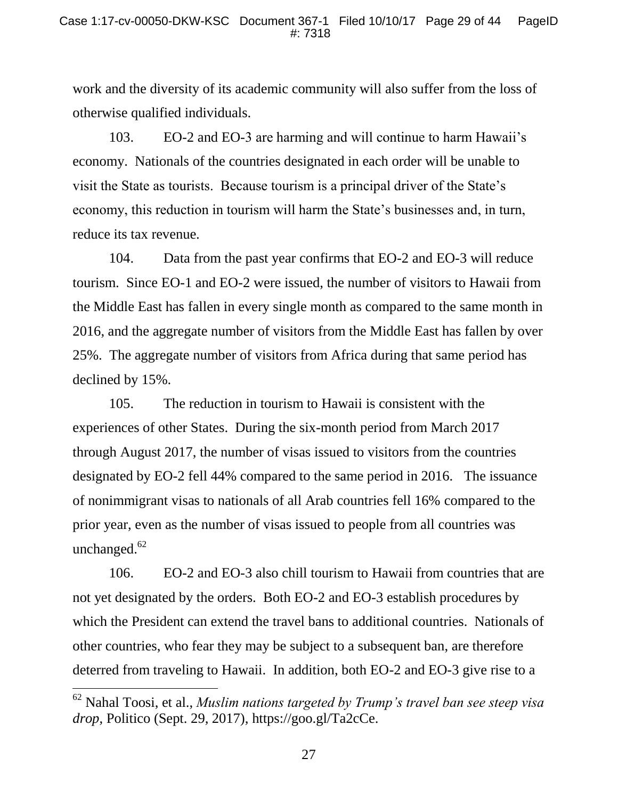work and the diversity of its academic community will also suffer from the loss of otherwise qualified individuals.

103. EO-2 and EO-3 are harming and will continue to harm Hawaii's economy. Nationals of the countries designated in each order will be unable to visit the State as tourists. Because tourism is a principal driver of the State's economy, this reduction in tourism will harm the State's businesses and, in turn, reduce its tax revenue.

104. Data from the past year confirms that EO-2 and EO-3 will reduce tourism. Since EO-1 and EO-2 were issued, the number of visitors to Hawaii from the Middle East has fallen in every single month as compared to the same month in 2016, and the aggregate number of visitors from the Middle East has fallen by over 25%. The aggregate number of visitors from Africa during that same period has declined by 15%.

105. The reduction in tourism to Hawaii is consistent with the experiences of other States. During the six-month period from March 2017 through August 2017, the number of visas issued to visitors from the countries designated by EO-2 fell 44% compared to the same period in 2016. The issuance of nonimmigrant visas to nationals of all Arab countries fell 16% compared to the prior year, even as the number of visas issued to people from all countries was unchanged. $62$ 

106. EO-2 and EO-3 also chill tourism to Hawaii from countries that are not yet designated by the orders. Both EO-2 and EO-3 establish procedures by which the President can extend the travel bans to additional countries. Nationals of other countries, who fear they may be subject to a subsequent ban, are therefore deterred from traveling to Hawaii. In addition, both EO-2 and EO-3 give rise to a

<sup>62</sup> Nahal Toosi, et al., *Muslim nations targeted by Trump's travel ban see steep visa drop*, Politico (Sept. 29, 2017), https://goo.gl/Ta2cCe.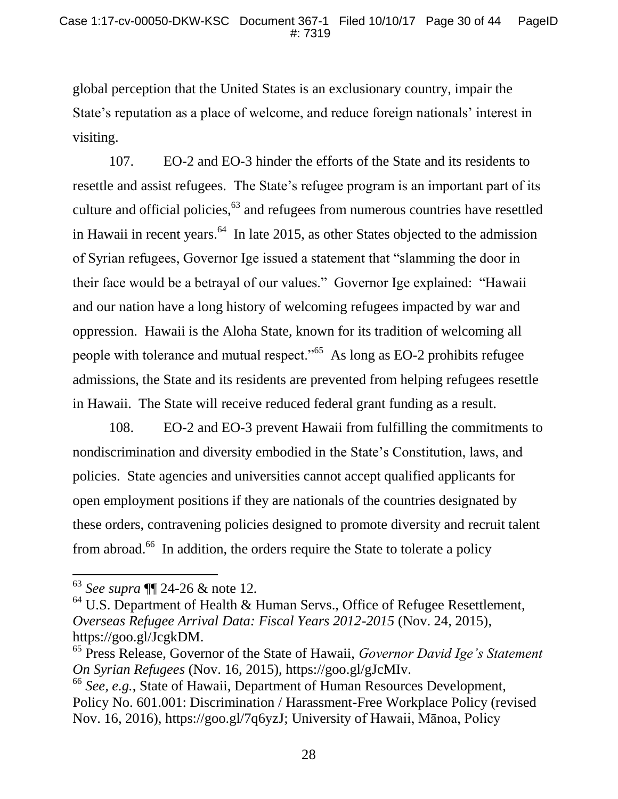global perception that the United States is an exclusionary country, impair the State's reputation as a place of welcome, and reduce foreign nationals' interest in visiting.

107. EO-2 and EO-3 hinder the efforts of the State and its residents to resettle and assist refugees. The State's refugee program is an important part of its culture and official policies,<sup>63</sup> and refugees from numerous countries have resettled in Hawaii in recent years. $64$  In late 2015, as other States objected to the admission of Syrian refugees, Governor Ige issued a statement that "slamming the door in their face would be a betrayal of our values." Governor Ige explained: "Hawaii and our nation have a long history of welcoming refugees impacted by war and oppression. Hawaii is the Aloha State, known for its tradition of welcoming all people with tolerance and mutual respect."<sup>65</sup> As long as EO-2 prohibits refugee admissions, the State and its residents are prevented from helping refugees resettle in Hawaii. The State will receive reduced federal grant funding as a result.

108. EO-2 and EO-3 prevent Hawaii from fulfilling the commitments to nondiscrimination and diversity embodied in the State's Constitution, laws, and policies. State agencies and universities cannot accept qualified applicants for open employment positions if they are nationals of the countries designated by these orders, contravening policies designed to promote diversity and recruit talent from abroad.<sup>66</sup> In addition, the orders require the State to tolerate a policy

<sup>63</sup> *See supra* ¶¶ 24-26 & note 12*.*

 $64$  U.S. Department of Health & Human Servs., Office of Refugee Resettlement, *Overseas Refugee Arrival Data: Fiscal Years 2012-2015* (Nov. 24, 2015), https://goo.gl/JcgkDM.

<sup>65</sup> Press Release, Governor of the State of Hawaii, *Governor David Ige's Statement On Syrian Refugees* (Nov. 16, 2015), https://goo.gl/gJcMIv.

<sup>66</sup> *See, e.g.*, State of Hawaii, Department of Human Resources Development, Policy No. 601.001: Discrimination / Harassment-Free Workplace Policy (revised Nov. 16, 2016), https://goo.gl/7q6yzJ; University of Hawaii, Mānoa, Policy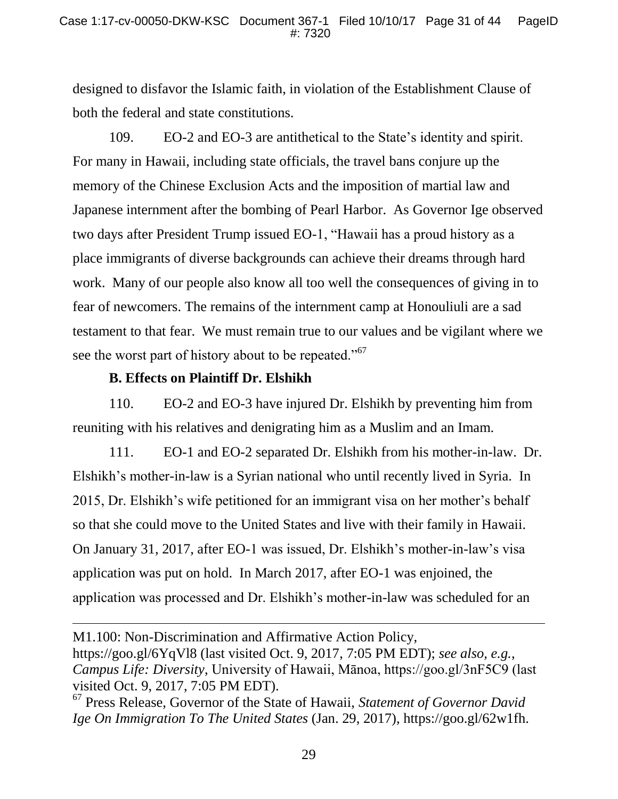designed to disfavor the Islamic faith, in violation of the Establishment Clause of both the federal and state constitutions.

109. EO-2 and EO-3 are antithetical to the State's identity and spirit. For many in Hawaii, including state officials, the travel bans conjure up the memory of the Chinese Exclusion Acts and the imposition of martial law and Japanese internment after the bombing of Pearl Harbor. As Governor Ige observed two days after President Trump issued EO-1, "Hawaii has a proud history as a place immigrants of diverse backgrounds can achieve their dreams through hard work. Many of our people also know all too well the consequences of giving in to fear of newcomers. The remains of the internment camp at Honouliuli are a sad testament to that fear. We must remain true to our values and be vigilant where we see the worst part of history about to be repeated."<sup>67</sup>

### **B. Effects on Plaintiff Dr. Elshikh**

l

110. EO-2 and EO-3 have injured Dr. Elshikh by preventing him from reuniting with his relatives and denigrating him as a Muslim and an Imam.

111. EO-1 and EO-2 separated Dr. Elshikh from his mother-in-law. Dr. Elshikh's mother-in-law is a Syrian national who until recently lived in Syria. In 2015, Dr. Elshikh's wife petitioned for an immigrant visa on her mother's behalf so that she could move to the United States and live with their family in Hawaii. On January 31, 2017, after EO-1 was issued, Dr. Elshikh's mother-in-law's visa application was put on hold. In March 2017, after EO-1 was enjoined, the application was processed and Dr. Elshikh's mother-in-law was scheduled for an

M1.100: Non-Discrimination and Affirmative Action Policy, https://goo.gl/6YqVl8 (last visited Oct. 9, 2017, 7:05 PM EDT); *see also, e.g.*, *Campus Life: Diversity*, University of Hawaii, Mānoa, https://goo.gl/3nF5C9 (last visited Oct. 9, 2017, 7:05 PM EDT).

<sup>67</sup> Press Release, Governor of the State of Hawaii, *Statement of Governor David Ige On Immigration To The United States* (Jan. 29, 2017), https://goo.gl/62w1fh.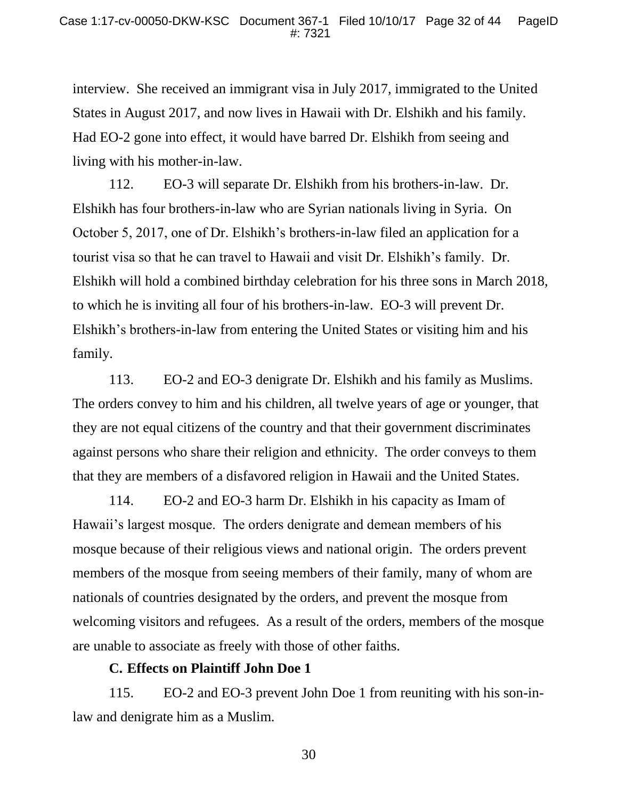interview. She received an immigrant visa in July 2017, immigrated to the United States in August 2017, and now lives in Hawaii with Dr. Elshikh and his family. Had EO-2 gone into effect, it would have barred Dr. Elshikh from seeing and living with his mother-in-law.

112. EO-3 will separate Dr. Elshikh from his brothers-in-law. Dr. Elshikh has four brothers-in-law who are Syrian nationals living in Syria. On October 5, 2017, one of Dr. Elshikh's brothers-in-law filed an application for a tourist visa so that he can travel to Hawaii and visit Dr. Elshikh's family. Dr. Elshikh will hold a combined birthday celebration for his three sons in March 2018, to which he is inviting all four of his brothers-in-law. EO-3 will prevent Dr. Elshikh's brothers-in-law from entering the United States or visiting him and his family.

113. EO-2 and EO-3 denigrate Dr. Elshikh and his family as Muslims. The orders convey to him and his children, all twelve years of age or younger, that they are not equal citizens of the country and that their government discriminates against persons who share their religion and ethnicity. The order conveys to them that they are members of a disfavored religion in Hawaii and the United States.

114. EO-2 and EO-3 harm Dr. Elshikh in his capacity as Imam of Hawaii's largest mosque. The orders denigrate and demean members of his mosque because of their religious views and national origin. The orders prevent members of the mosque from seeing members of their family, many of whom are nationals of countries designated by the orders, and prevent the mosque from welcoming visitors and refugees. As a result of the orders, members of the mosque are unable to associate as freely with those of other faiths.

#### **C. Effects on Plaintiff John Doe 1**

115. EO-2 and EO-3 prevent John Doe 1 from reuniting with his son-inlaw and denigrate him as a Muslim.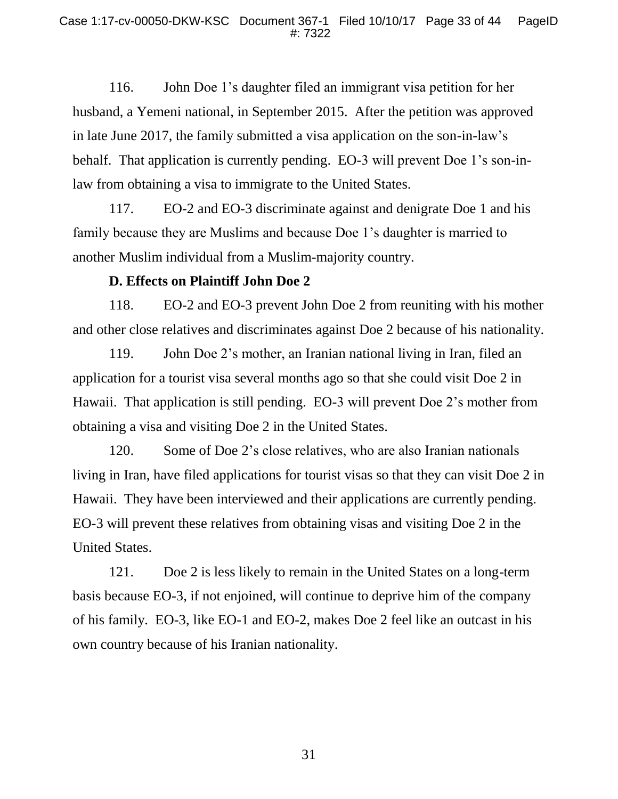116. John Doe 1's daughter filed an immigrant visa petition for her husband, a Yemeni national, in September 2015. After the petition was approved in late June 2017, the family submitted a visa application on the son-in-law's behalf. That application is currently pending. EO-3 will prevent Doe 1's son-inlaw from obtaining a visa to immigrate to the United States.

117. EO-2 and EO-3 discriminate against and denigrate Doe 1 and his family because they are Muslims and because Doe 1's daughter is married to another Muslim individual from a Muslim-majority country.

### **D. Effects on Plaintiff John Doe 2**

118. EO-2 and EO-3 prevent John Doe 2 from reuniting with his mother and other close relatives and discriminates against Doe 2 because of his nationality.

119. John Doe 2's mother, an Iranian national living in Iran, filed an application for a tourist visa several months ago so that she could visit Doe 2 in Hawaii. That application is still pending. EO-3 will prevent Doe 2's mother from obtaining a visa and visiting Doe 2 in the United States.

120. Some of Doe 2's close relatives, who are also Iranian nationals living in Iran, have filed applications for tourist visas so that they can visit Doe 2 in Hawaii. They have been interviewed and their applications are currently pending. EO-3 will prevent these relatives from obtaining visas and visiting Doe 2 in the United States.

121. Doe 2 is less likely to remain in the United States on a long-term basis because EO-3, if not enjoined, will continue to deprive him of the company of his family. EO-3, like EO-1 and EO-2, makes Doe 2 feel like an outcast in his own country because of his Iranian nationality.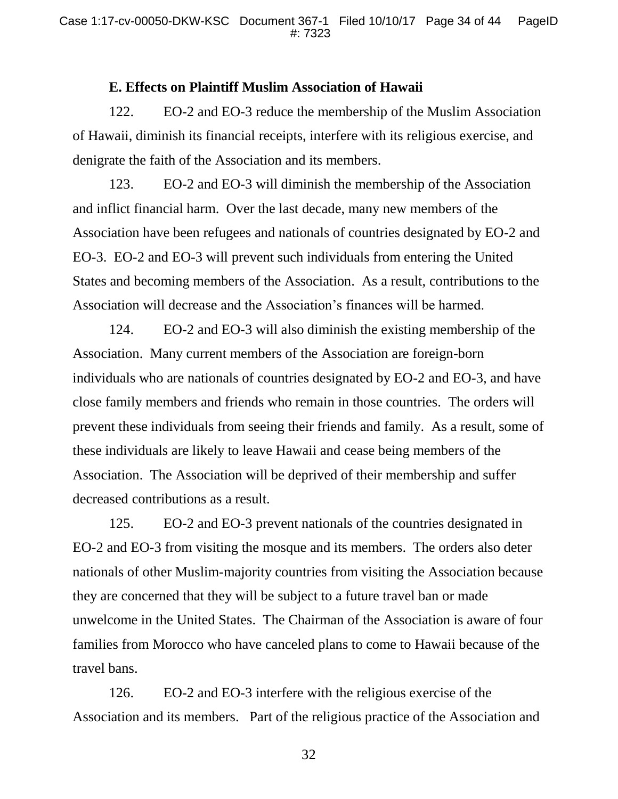#### **E. Effects on Plaintiff Muslim Association of Hawaii**

122. EO-2 and EO-3 reduce the membership of the Muslim Association of Hawaii, diminish its financial receipts, interfere with its religious exercise, and denigrate the faith of the Association and its members.

123. EO-2 and EO-3 will diminish the membership of the Association and inflict financial harm. Over the last decade, many new members of the Association have been refugees and nationals of countries designated by EO-2 and EO-3. EO-2 and EO-3 will prevent such individuals from entering the United States and becoming members of the Association. As a result, contributions to the Association will decrease and the Association's finances will be harmed.

124. EO-2 and EO-3 will also diminish the existing membership of the Association. Many current members of the Association are foreign-born individuals who are nationals of countries designated by EO-2 and EO-3, and have close family members and friends who remain in those countries. The orders will prevent these individuals from seeing their friends and family. As a result, some of these individuals are likely to leave Hawaii and cease being members of the Association. The Association will be deprived of their membership and suffer decreased contributions as a result.

125. EO-2 and EO-3 prevent nationals of the countries designated in EO-2 and EO-3 from visiting the mosque and its members. The orders also deter nationals of other Muslim-majority countries from visiting the Association because they are concerned that they will be subject to a future travel ban or made unwelcome in the United States. The Chairman of the Association is aware of four families from Morocco who have canceled plans to come to Hawaii because of the travel bans.

126. EO-2 and EO-3 interfere with the religious exercise of the Association and its members. Part of the religious practice of the Association and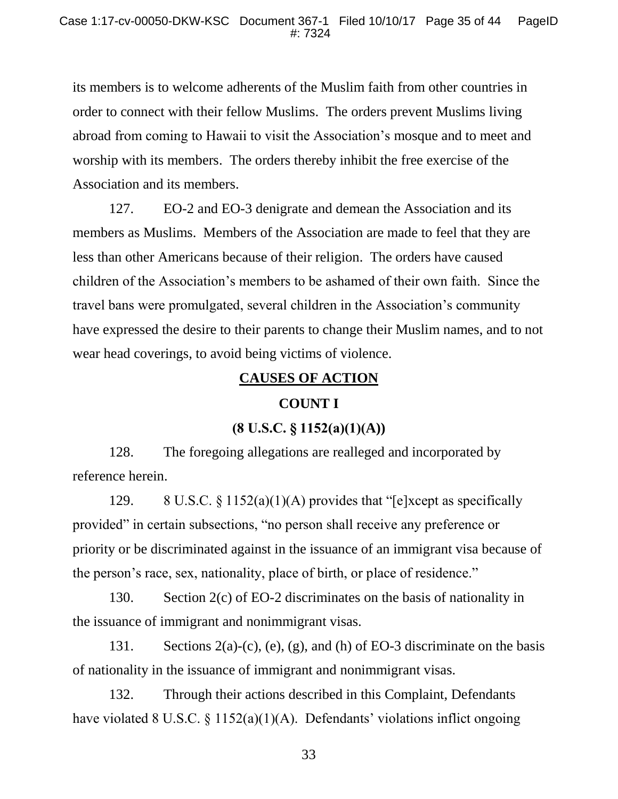its members is to welcome adherents of the Muslim faith from other countries in order to connect with their fellow Muslims. The orders prevent Muslims living abroad from coming to Hawaii to visit the Association's mosque and to meet and worship with its members. The orders thereby inhibit the free exercise of the Association and its members.

127. EO-2 and EO-3 denigrate and demean the Association and its members as Muslims. Members of the Association are made to feel that they are less than other Americans because of their religion. The orders have caused children of the Association's members to be ashamed of their own faith. Since the travel bans were promulgated, several children in the Association's community have expressed the desire to their parents to change their Muslim names, and to not wear head coverings, to avoid being victims of violence.

### **CAUSES OF ACTION**

### **COUNT I**

# **(8 U.S.C. § 1152(a)(1)(A))**

128. The foregoing allegations are realleged and incorporated by reference herein.

129. 8 U.S.C. § 1152(a)(1)(A) provides that "[e]xcept as specifically provided" in certain subsections, "no person shall receive any preference or priority or be discriminated against in the issuance of an immigrant visa because of the person's race, sex, nationality, place of birth, or place of residence."

130. Section 2(c) of EO-2 discriminates on the basis of nationality in the issuance of immigrant and nonimmigrant visas.

131. Sections 2(a)-(c), (e), (g), and (h) of EO-3 discriminate on the basis of nationality in the issuance of immigrant and nonimmigrant visas.

132. Through their actions described in this Complaint, Defendants have violated 8 U.S.C. § 1152(a)(1)(A). Defendants' violations inflict ongoing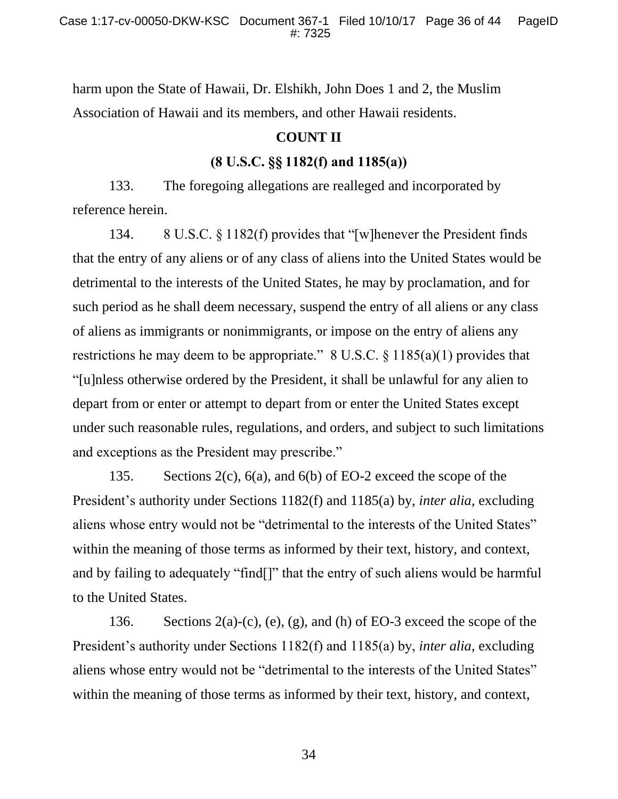harm upon the State of Hawaii, Dr. Elshikh, John Does 1 and 2, the Muslim Association of Hawaii and its members, and other Hawaii residents.

# **COUNT II**

## **(8 U.S.C. §§ 1182(f) and 1185(a))**

133. The foregoing allegations are realleged and incorporated by reference herein.

134. 8 U.S.C. § 1182(f) provides that "[w]henever the President finds that the entry of any aliens or of any class of aliens into the United States would be detrimental to the interests of the United States, he may by proclamation, and for such period as he shall deem necessary, suspend the entry of all aliens or any class of aliens as immigrants or nonimmigrants, or impose on the entry of aliens any restrictions he may deem to be appropriate."  $8 \text{ U.S.C.} \$ § 1185(a)(1) provides that "[u]nless otherwise ordered by the President, it shall be unlawful for any alien to depart from or enter or attempt to depart from or enter the United States except under such reasonable rules, regulations, and orders, and subject to such limitations and exceptions as the President may prescribe."

135. Sections 2(c), 6(a), and 6(b) of EO-2 exceed the scope of the President's authority under Sections 1182(f) and 1185(a) by, *inter alia*, excluding aliens whose entry would not be "detrimental to the interests of the United States" within the meaning of those terms as informed by their text, history, and context, and by failing to adequately "find[]" that the entry of such aliens would be harmful to the United States.

136. Sections 2(a)-(c), (e), (g), and (h) of EO-3 exceed the scope of the President's authority under Sections 1182(f) and 1185(a) by, *inter alia*, excluding aliens whose entry would not be "detrimental to the interests of the United States" within the meaning of those terms as informed by their text, history, and context,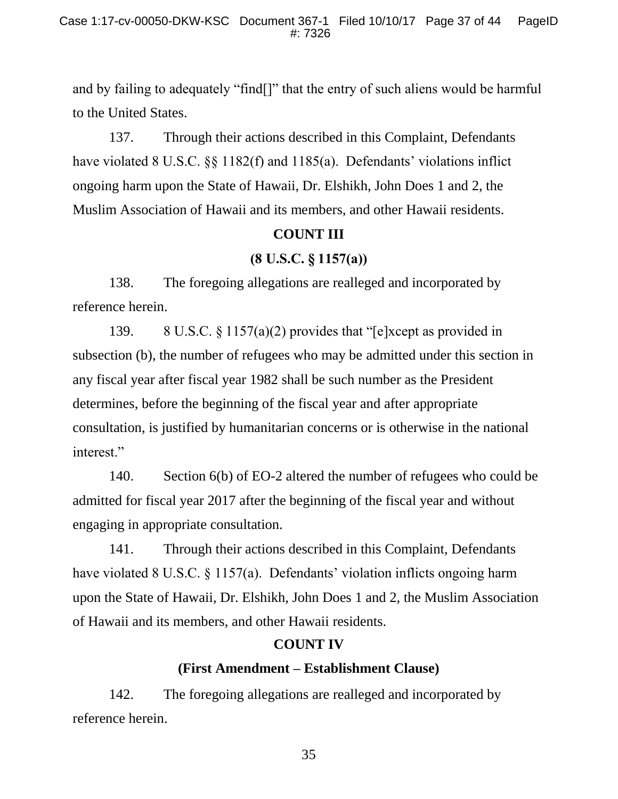and by failing to adequately "find[]" that the entry of such aliens would be harmful to the United States.

137. Through their actions described in this Complaint, Defendants have violated 8 U.S.C. §§ 1182(f) and 1185(a). Defendants' violations inflict ongoing harm upon the State of Hawaii, Dr. Elshikh, John Does 1 and 2, the Muslim Association of Hawaii and its members, and other Hawaii residents.

# **COUNT III**

# **(8 U.S.C. § 1157(a))**

138. The foregoing allegations are realleged and incorporated by reference herein.

139. 8 U.S.C. § 1157(a)(2) provides that "[e]xcept as provided in subsection (b), the number of refugees who may be admitted under this section in any fiscal year after fiscal year 1982 shall be such number as the President determines, before the beginning of the fiscal year and after appropriate consultation, is justified by humanitarian concerns or is otherwise in the national interest."

140. Section 6(b) of EO-2 altered the number of refugees who could be admitted for fiscal year 2017 after the beginning of the fiscal year and without engaging in appropriate consultation.

141. Through their actions described in this Complaint, Defendants have violated 8 U.S.C. § 1157(a). Defendants' violation inflicts ongoing harm upon the State of Hawaii, Dr. Elshikh, John Does 1 and 2, the Muslim Association of Hawaii and its members, and other Hawaii residents.

## **COUNT IV**

## **(First Amendment – Establishment Clause)**

142. The foregoing allegations are realleged and incorporated by reference herein.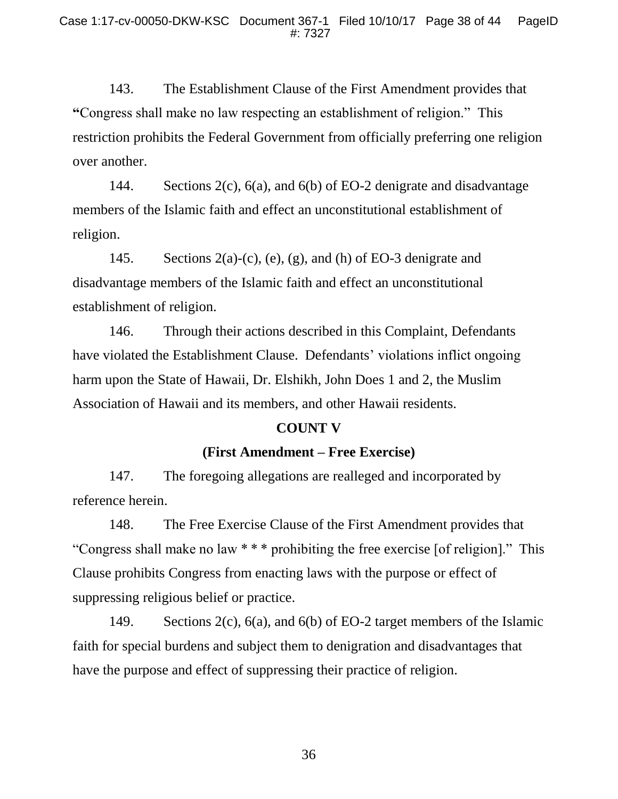143. The Establishment Clause of the First Amendment provides that **"**Congress shall make no law respecting an establishment of religion."This restriction prohibits the Federal Government from officially preferring one religion over another.

144. Sections 2(c), 6(a), and 6(b) of EO-2 denigrate and disadvantage members of the Islamic faith and effect an unconstitutional establishment of religion.

145. Sections  $2(a)-(c)$ ,  $(e)$ ,  $(g)$ , and  $(h)$  of EO-3 denigrate and disadvantage members of the Islamic faith and effect an unconstitutional establishment of religion.

146. Through their actions described in this Complaint, Defendants have violated the Establishment Clause. Defendants' violations inflict ongoing harm upon the State of Hawaii, Dr. Elshikh, John Does 1 and 2, the Muslim Association of Hawaii and its members, and other Hawaii residents.

#### **COUNT V**

### **(First Amendment – Free Exercise)**

147. The foregoing allegations are realleged and incorporated by reference herein.

148. The Free Exercise Clause of the First Amendment provides that "Congress shall make no law \* \* \* prohibiting the free exercise [of religion]." This Clause prohibits Congress from enacting laws with the purpose or effect of suppressing religious belief or practice.

149. Sections 2(c), 6(a), and 6(b) of EO-2 target members of the Islamic faith for special burdens and subject them to denigration and disadvantages that have the purpose and effect of suppressing their practice of religion.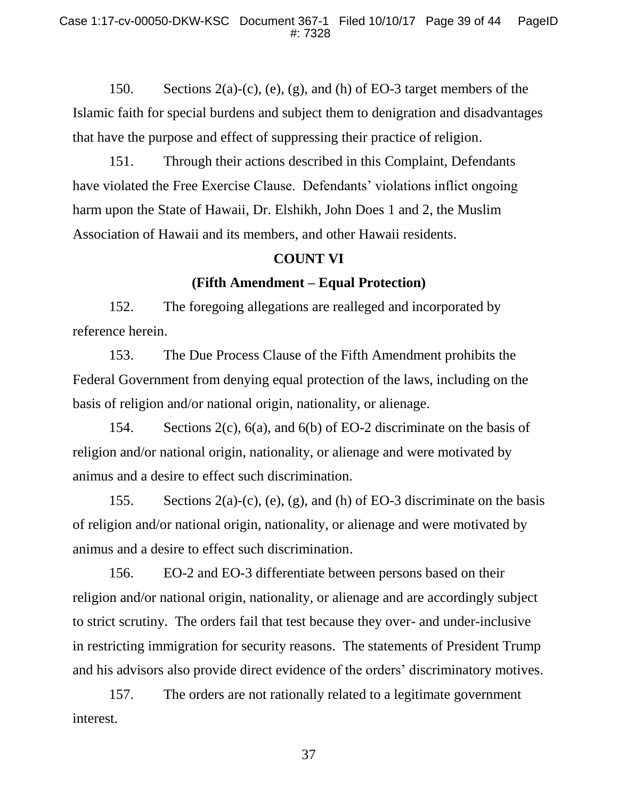150. Sections  $2(a)-(c)$ ,  $(e)$ ,  $(g)$ , and  $(h)$  of EO-3 target members of the Islamic faith for special burdens and subject them to denigration and disadvantages that have the purpose and effect of suppressing their practice of religion.

151. Through their actions described in this Complaint, Defendants have violated the Free Exercise Clause. Defendants' violations inflict ongoing harm upon the State of Hawaii, Dr. Elshikh, John Does 1 and 2, the Muslim Association of Hawaii and its members, and other Hawaii residents.

### **COUNT VI**

### **(Fifth Amendment – Equal Protection)**

152. The foregoing allegations are realleged and incorporated by reference herein.

153. The Due Process Clause of the Fifth Amendment prohibits the Federal Government from denying equal protection of the laws, including on the basis of religion and/or national origin, nationality, or alienage.

154. Sections 2(c), 6(a), and 6(b) of EO-2 discriminate on the basis of religion and/or national origin, nationality, or alienage and were motivated by animus and a desire to effect such discrimination.

155. Sections 2(a)-(c), (e), (g), and (h) of EO-3 discriminate on the basis of religion and/or national origin, nationality, or alienage and were motivated by animus and a desire to effect such discrimination.

156. EO-2 and EO-3 differentiate between persons based on their religion and/or national origin, nationality, or alienage and are accordingly subject to strict scrutiny. The orders fail that test because they over- and under-inclusive in restricting immigration for security reasons. The statements of President Trump and his advisors also provide direct evidence of the orders' discriminatory motives.

157. The orders are not rationally related to a legitimate government interest.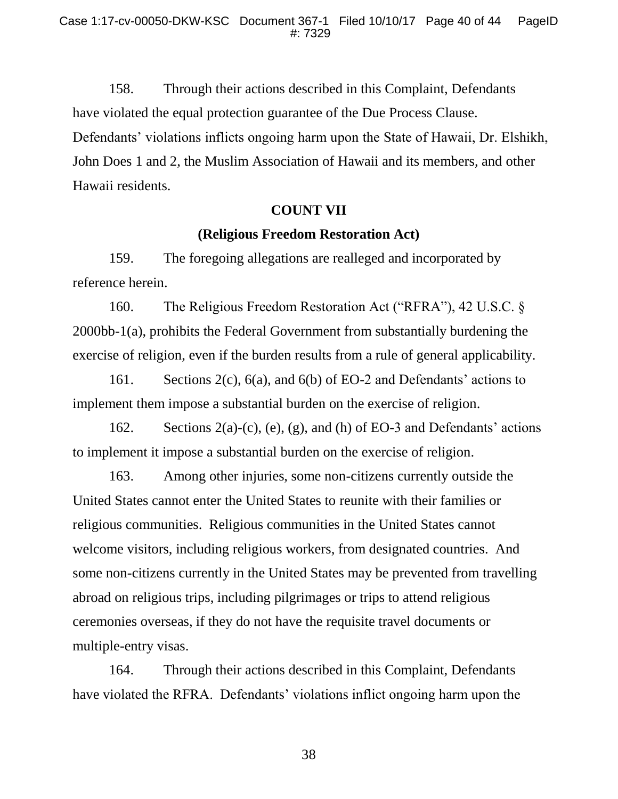158. Through their actions described in this Complaint, Defendants have violated the equal protection guarantee of the Due Process Clause. Defendants' violations inflicts ongoing harm upon the State of Hawaii, Dr. Elshikh, John Does 1 and 2, the Muslim Association of Hawaii and its members, and other Hawaii residents.

### **COUNT VII**

## **(Religious Freedom Restoration Act)**

159. The foregoing allegations are realleged and incorporated by reference herein.

160. The Religious Freedom Restoration Act ("RFRA"), 42 U.S.C. § 2000bb-1(a), prohibits the Federal Government from substantially burdening the exercise of religion, even if the burden results from a rule of general applicability.

161. Sections 2(c), 6(a), and 6(b) of EO-2 and Defendants' actions to implement them impose a substantial burden on the exercise of religion.

162. Sections  $2(a)-(c)$ ,  $(e)$ ,  $(g)$ , and  $(h)$  of EO-3 and Defendants' actions to implement it impose a substantial burden on the exercise of religion.

163. Among other injuries, some non-citizens currently outside the United States cannot enter the United States to reunite with their families or religious communities. Religious communities in the United States cannot welcome visitors, including religious workers, from designated countries. And some non-citizens currently in the United States may be prevented from travelling abroad on religious trips, including pilgrimages or trips to attend religious ceremonies overseas, if they do not have the requisite travel documents or multiple-entry visas.

164. Through their actions described in this Complaint, Defendants have violated the RFRA. Defendants' violations inflict ongoing harm upon the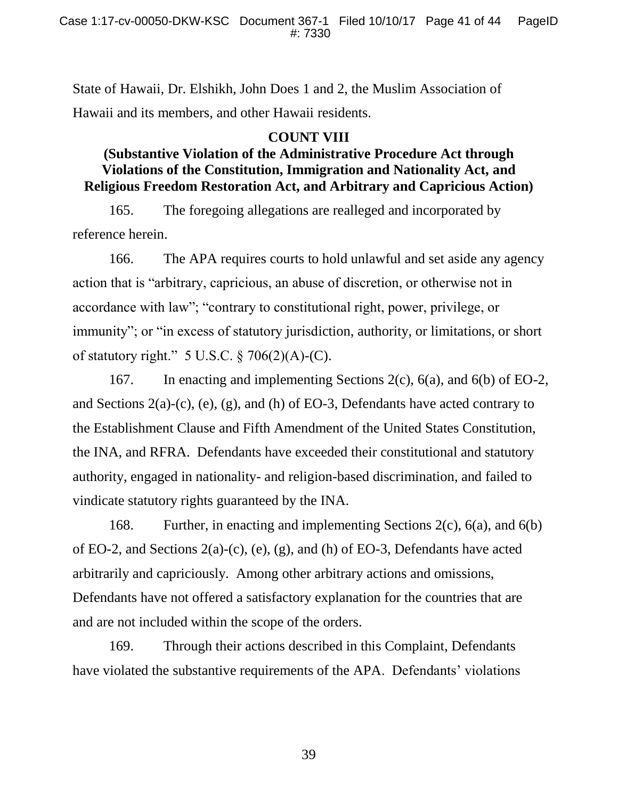State of Hawaii, Dr. Elshikh, John Does 1 and 2, the Muslim Association of Hawaii and its members, and other Hawaii residents.

## **COUNT VIII**

# **(Substantive Violation of the Administrative Procedure Act through Violations of the Constitution, Immigration and Nationality Act, and Religious Freedom Restoration Act, and Arbitrary and Capricious Action)**

165. The foregoing allegations are realleged and incorporated by reference herein.

166. The APA requires courts to hold unlawful and set aside any agency action that is "arbitrary, capricious, an abuse of discretion, or otherwise not in accordance with law"; "contrary to constitutional right, power, privilege, or immunity"; or "in excess of statutory jurisdiction, authority, or limitations, or short of statutory right."  $5 \text{ U.S.C.} \$   $706(2)(\text{A})$ -(C).

167. In enacting and implementing Sections 2(c), 6(a), and 6(b) of EO-2, and Sections 2(a)-(c), (e), (g), and (h) of EO-3, Defendants have acted contrary to the Establishment Clause and Fifth Amendment of the United States Constitution, the INA, and RFRA. Defendants have exceeded their constitutional and statutory authority, engaged in nationality- and religion-based discrimination, and failed to vindicate statutory rights guaranteed by the INA.

168. Further, in enacting and implementing Sections 2(c), 6(a), and 6(b) of EO-2, and Sections 2(a)-(c), (e), (g), and (h) of EO-3, Defendants have acted arbitrarily and capriciously. Among other arbitrary actions and omissions, Defendants have not offered a satisfactory explanation for the countries that are and are not included within the scope of the orders.

169. Through their actions described in this Complaint, Defendants have violated the substantive requirements of the APA. Defendants' violations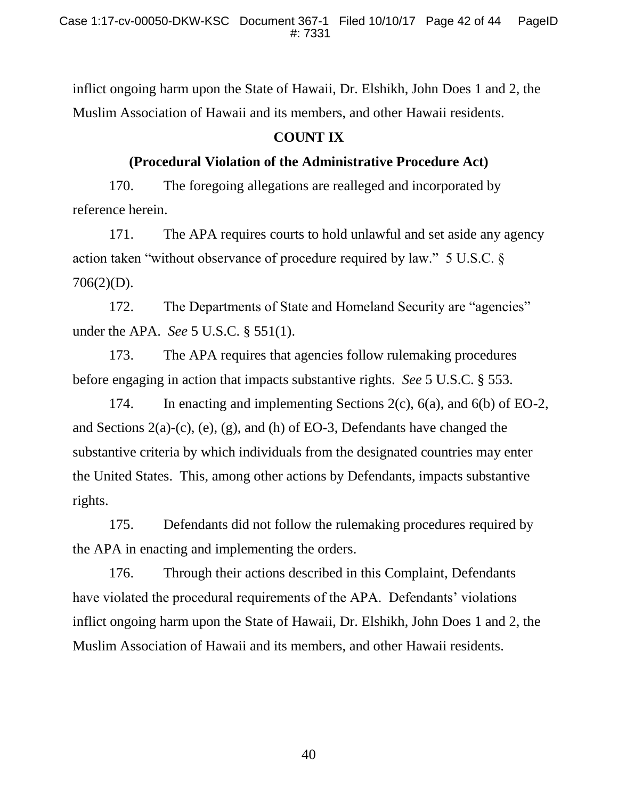inflict ongoing harm upon the State of Hawaii, Dr. Elshikh, John Does 1 and 2, the Muslim Association of Hawaii and its members, and other Hawaii residents.

# **COUNT IX**

# **(Procedural Violation of the Administrative Procedure Act)**

170. The foregoing allegations are realleged and incorporated by reference herein.

171. The APA requires courts to hold unlawful and set aside any agency action taken "without observance of procedure required by law." 5 U.S.C. § 706(2)(D).

172. The Departments of State and Homeland Security are "agencies" under the APA. *See* 5 U.S.C. § 551(1).

173. The APA requires that agencies follow rulemaking procedures before engaging in action that impacts substantive rights. *See* 5 U.S.C. § 553.

174. In enacting and implementing Sections 2(c), 6(a), and 6(b) of EO-2, and Sections 2(a)-(c), (e), (g), and (h) of EO-3, Defendants have changed the substantive criteria by which individuals from the designated countries may enter the United States. This, among other actions by Defendants, impacts substantive rights.

175. Defendants did not follow the rulemaking procedures required by the APA in enacting and implementing the orders.

176. Through their actions described in this Complaint, Defendants have violated the procedural requirements of the APA. Defendants' violations inflict ongoing harm upon the State of Hawaii, Dr. Elshikh, John Does 1 and 2, the Muslim Association of Hawaii and its members, and other Hawaii residents.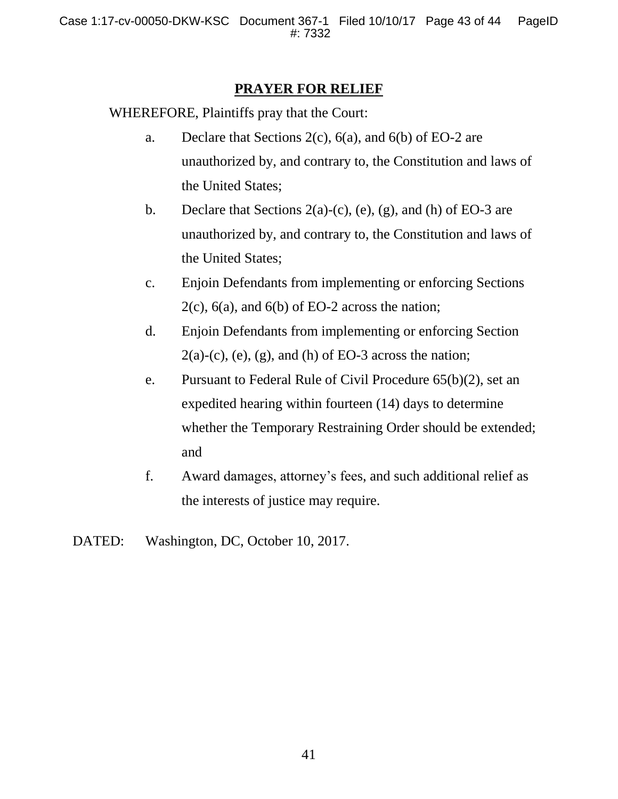## **PRAYER FOR RELIEF**

WHEREFORE, Plaintiffs pray that the Court:

- a. Declare that Sections 2(c), 6(a), and 6(b) of EO-2 are unauthorized by, and contrary to, the Constitution and laws of the United States;
- b. Declare that Sections  $2(a)-(c)$ ,  $(e)$ ,  $(g)$ , and  $(h)$  of EO-3 are unauthorized by, and contrary to, the Constitution and laws of the United States;
- c. Enjoin Defendants from implementing or enforcing Sections  $2(c)$ ,  $6(a)$ , and  $6(b)$  of EO-2 across the nation;
- d. Enjoin Defendants from implementing or enforcing Section  $2(a)-(c)$ , (e), (g), and (h) of EO-3 across the nation;
- e. Pursuant to Federal Rule of Civil Procedure 65(b)(2), set an expedited hearing within fourteen (14) days to determine whether the Temporary Restraining Order should be extended; and
- f. Award damages, attorney's fees, and such additional relief as the interests of justice may require.
- DATED: Washington, DC, October 10, 2017.